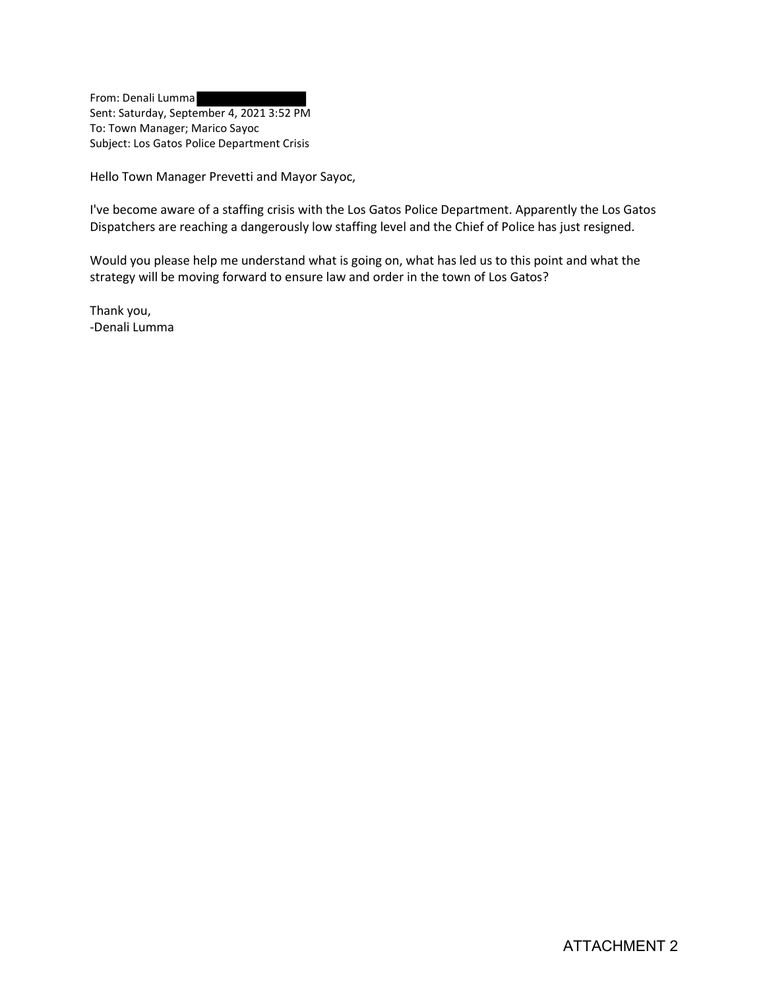From: Denali Lumma Sent: Saturday, September 4, 2021 3:52 PM To: Town Manager; Marico Sayoc Subject: Los Gatos Police Department Crisis

Hello Town Manager Prevetti and Mayor Sayoc,

I've become aware of a staffing crisis with the Los Gatos Police Department. Apparently the Los Gatos Dispatchers are reaching a dangerously low staffing level and the Chief of Police has just resigned.

Would you please help me understand what is going on, what has led us to this point and what the strategy will be moving forward to ensure law and order in the town of Los Gatos?

Thank you, -Denali Lumma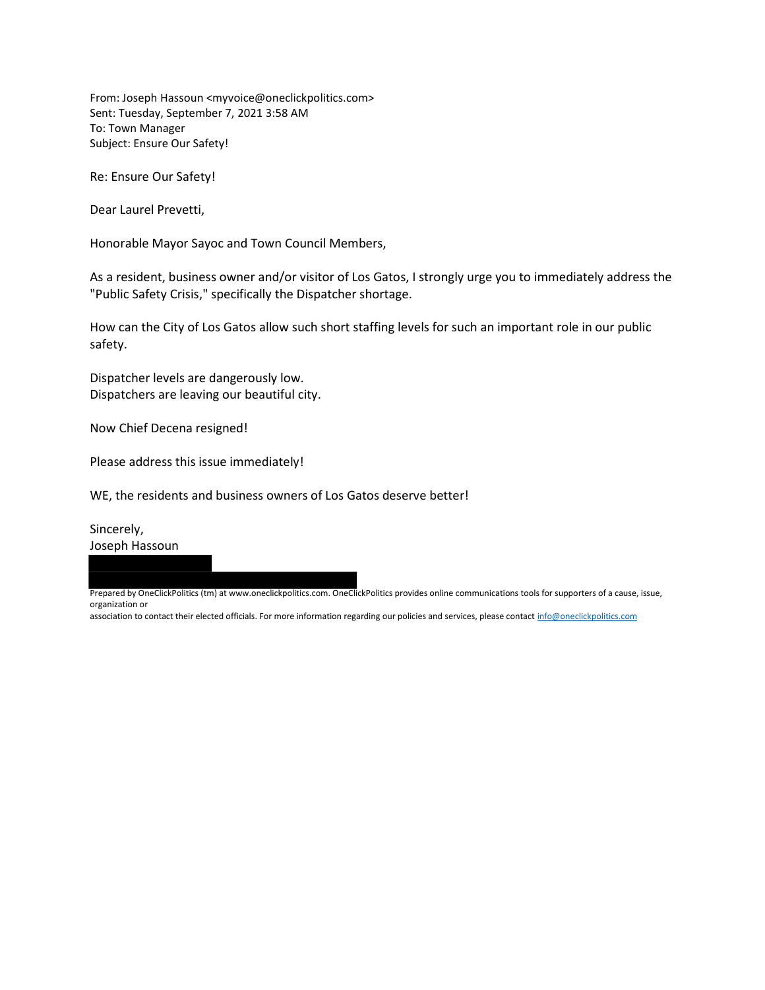From: Joseph Hassoun <myvoice@oneclickpolitics.com> Sent: Tuesday, September 7, 2021 3:58 AM To: Town Manager Subject: Ensure Our Safety!

Re: Ensure Our Safety!

Dear Laurel Prevetti,

Honorable Mayor Sayoc and Town Council Members,

As a resident, business owner and/or visitor of Los Gatos, I strongly urge you to immediately address the "Public Safety Crisis," specifically the Dispatcher shortage.

How can the City of Los Gatos allow such short staffing levels for such an important role in our public safety.

Dispatcher levels are dangerously low. Dispatchers are leaving our beautiful city.

Now Chief Decena resigned!

Please address this issue immediately!

WE, the residents and business owners of Los Gatos deserve better!

Sincerely, Joseph Hassoun

Prepared by OneClickPolitics (tm) at www.oneclickpolitics.com. OneClickPolitics provides online communications tools for supporters of a cause, issue, organization or

association to contact their elected officials. For more information regarding our policies and services, please contact info@oneclickpolitics.com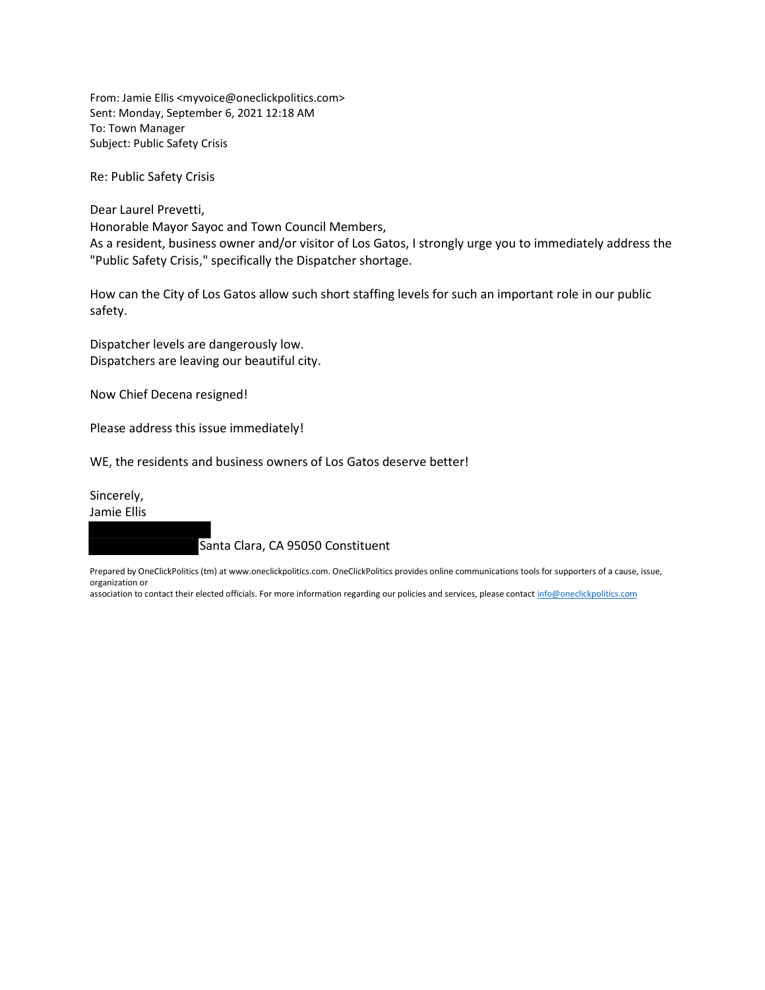From: Jamie Ellis <myvoice@oneclickpolitics.com> Sent: Monday, September 6, 2021 12:18 AM To: Town Manager Subject: Public Safety Crisis

Re: Public Safety Crisis

Dear Laurel Prevetti, Honorable Mayor Sayoc and Town Council Members, As a resident, business owner and/or visitor of Los Gatos, I strongly urge you to immediately address the "Public Safety Crisis," specifically the Dispatcher shortage.

How can the City of Los Gatos allow such short staffing levels for such an important role in our public safety.

Dispatcher levels are dangerously low. Dispatchers are leaving our beautiful city.

Now Chief Decena resigned!

Please address this issue immediately!

WE, the residents and business owners of Los Gatos deserve better!

Sincerely,

Jamie Ellis

Santa Clara, CA 95050 Constituent

Prepared by OneClickPolitics (tm) at www.oneclickpolitics.com. OneClickPolitics provides online communications tools for supporters of a cause, issue, organization or

association to contact their elected officials. For more information regarding our policies and services, please contact info@oneclickpolitics.com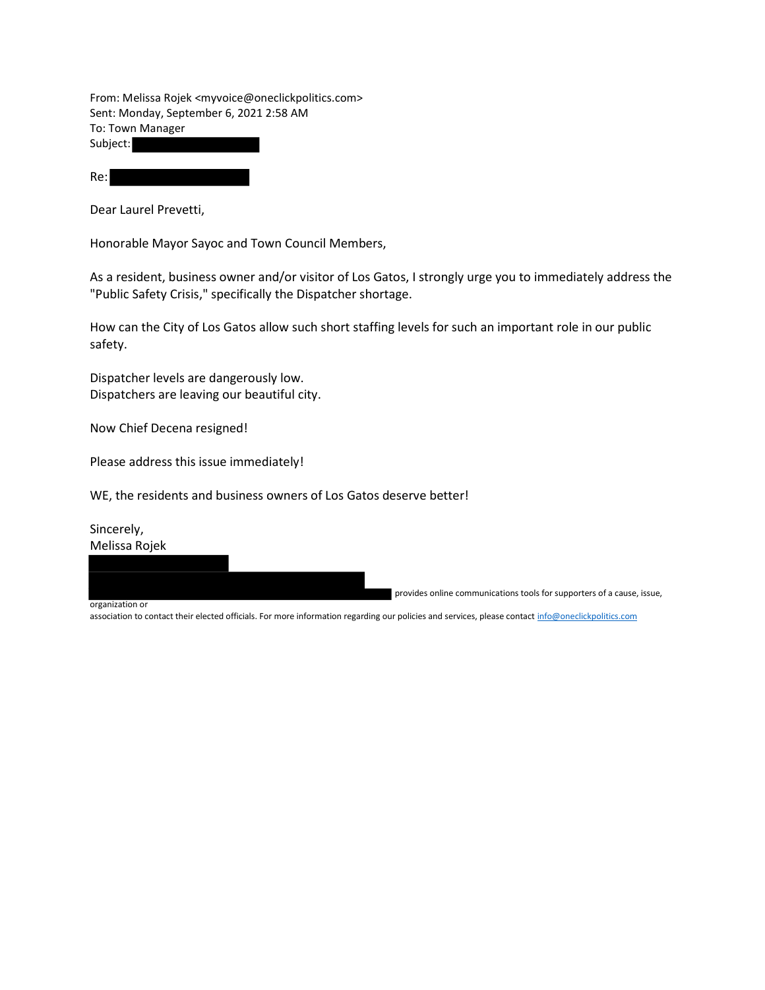From: Melissa Rojek <myvoice@oneclickpolitics.com> Sent: Monday, September 6, 2021 2:58 AM To: Town Manager Subject:

Re:

Dear Laurel Prevetti,

Honorable Mayor Sayoc and Town Council Members,

As a resident, business owner and/or visitor of Los Gatos, I strongly urge you to immediately address the "Public Safety Crisis," specifically the Dispatcher shortage.

How can the City of Los Gatos allow such short staffing levels for such an important role in our public safety.

Dispatcher levels are dangerously low. Dispatchers are leaving our beautiful city.

Now Chief Decena resigned!

Please address this issue immediately!

WE, the residents and business owners of Los Gatos deserve better!

Sincerely, Melissa Rojek

provides online communications tools for supporters of a cause, issue,

organization or

association to contact their elected officials. For more information regarding our policies and services, please contact info@oneclickpolitics.com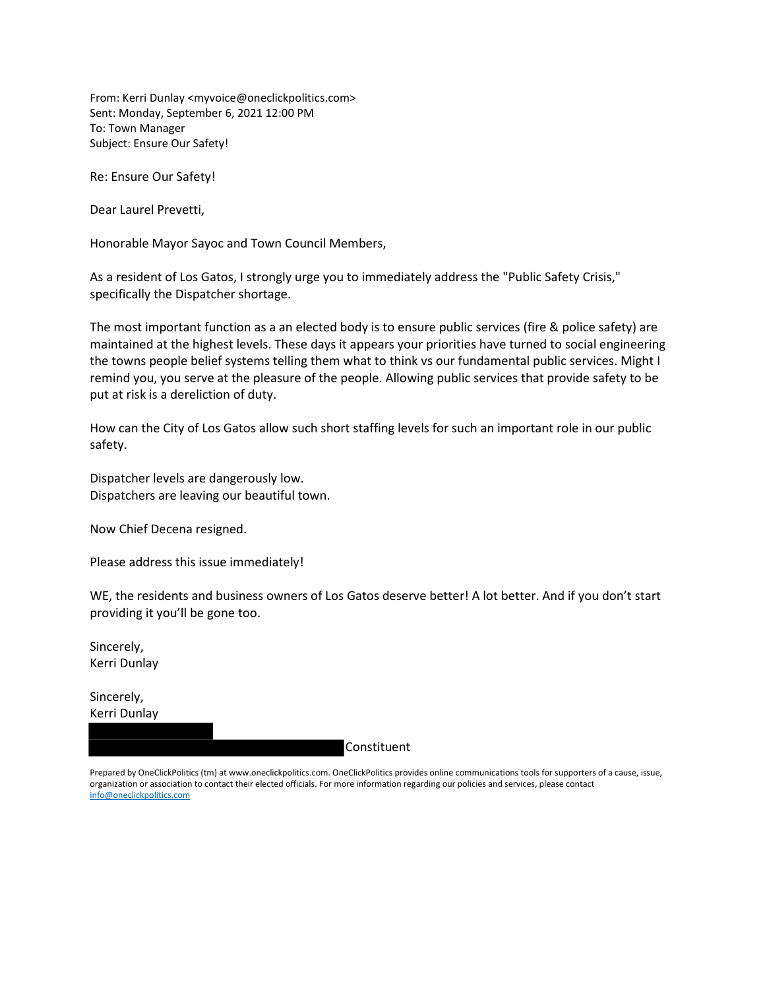From: Kerri Dunlay <myvoice@oneclickpolitics.com> Sent: Monday, September 6, 2021 12:00 PM To: Town Manager Subject: Ensure Our Safety!

Re: Ensure Our Safety!

Dear Laurel Prevetti,

Honorable Mayor Sayoc and Town Council Members,

As a resident of Los Gatos, I strongly urge you to immediately address the "Public Safety Crisis," specifically the Dispatcher shortage.

The most important function as a an elected body is to ensure public services (fire & police safety) are maintained at the highest levels. These days it appears your priorities have turned to social engineering the towns people belief systems telling them what to think vs our fundamental public services. Might I remind you, you serve at the pleasure of the people. Allowing public services that provide safety to be put at risk is a dereliction of duty.

How can the City of Los Gatos allow such short staffing levels for such an important role in our public safety.

Dispatcher levels are dangerously low. Dispatchers are leaving our beautiful town.

Now Chief Decena resigned.

Please address this issue immediately!

WE, the residents and business owners of Los Gatos deserve better! A lot better. And if you don't start providing it you'll be gone too.

Sincerely, Kerri Dunlay

Sincerely, Kerri Dunlay

Constituent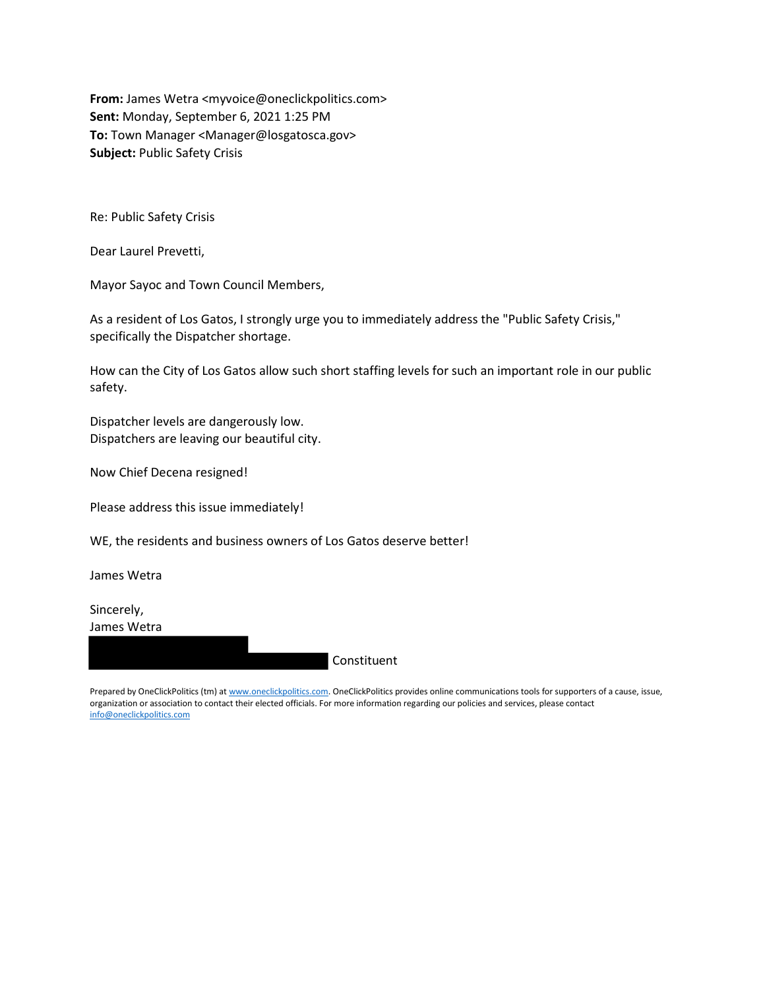From: James Wetra <myvoice@oneclickpolitics.com> Sent: Monday, September 6, 2021 1:25 PM To: Town Manager <Manager@losgatosca.gov> Subject: Public Safety Crisis

Re: Public Safety Crisis

Dear Laurel Prevetti,

Mayor Sayoc and Town Council Members,

As a resident of Los Gatos, I strongly urge you to immediately address the "Public Safety Crisis," specifically the Dispatcher shortage.

How can the City of Los Gatos allow such short staffing levels for such an important role in our public safety.

Dispatcher levels are dangerously low. Dispatchers are leaving our beautiful city.

Now Chief Decena resigned!

Please address this issue immediately!

WE, the residents and business owners of Los Gatos deserve better!

James Wetra

Sincerely, James Wetra

Constituent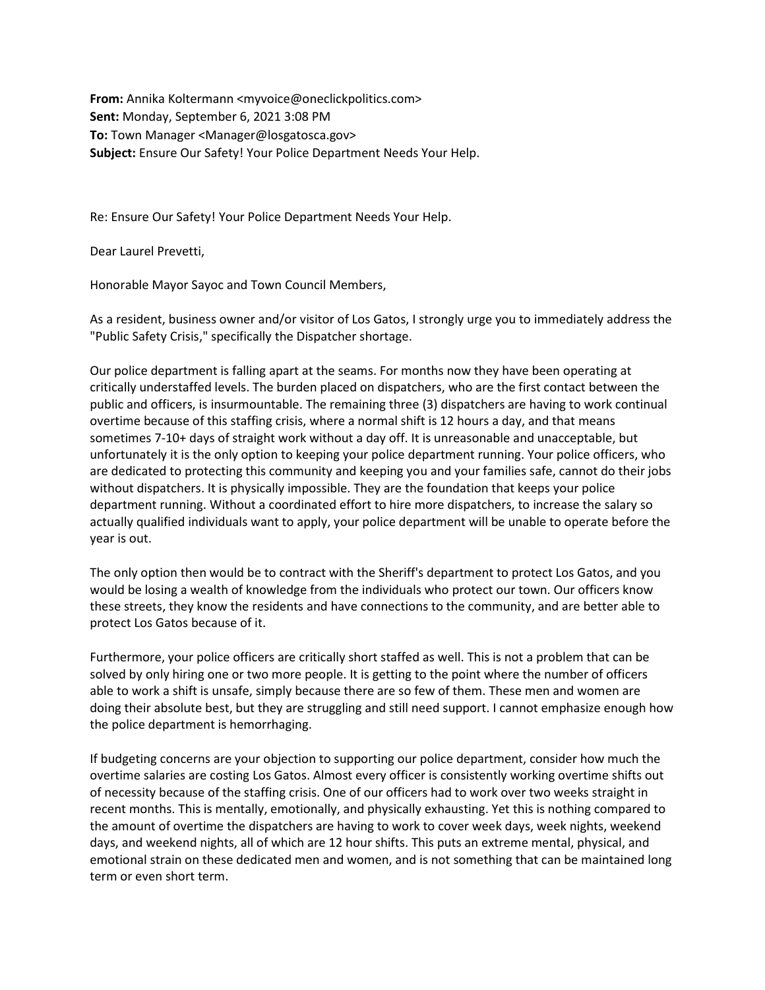From: Annika Koltermann <myvoice@oneclickpolitics.com> Sent: Monday, September 6, 2021 3:08 PM To: Town Manager <Manager@losgatosca.gov> Subject: Ensure Our Safety! Your Police Department Needs Your Help.

Re: Ensure Our Safety! Your Police Department Needs Your Help.

Dear Laurel Prevetti,

Honorable Mayor Sayoc and Town Council Members,

As a resident, business owner and/or visitor of Los Gatos, I strongly urge you to immediately address the "Public Safety Crisis," specifically the Dispatcher shortage.

Our police department is falling apart at the seams. For months now they have been operating at critically understaffed levels. The burden placed on dispatchers, who are the first contact between the public and officers, is insurmountable. The remaining three (3) dispatchers are having to work continual overtime because of this staffing crisis, where a normal shift is 12 hours a day, and that means sometimes 7-10+ days of straight work without a day off. It is unreasonable and unacceptable, but unfortunately it is the only option to keeping your police department running. Your police officers, who are dedicated to protecting this community and keeping you and your families safe, cannot do their jobs without dispatchers. It is physically impossible. They are the foundation that keeps your police department running. Without a coordinated effort to hire more dispatchers, to increase the salary so actually qualified individuals want to apply, your police department will be unable to operate before the year is out.

The only option then would be to contract with the Sheriff's department to protect Los Gatos, and you would be losing a wealth of knowledge from the individuals who protect our town. Our officers know these streets, they know the residents and have connections to the community, and are better able to protect Los Gatos because of it.

Furthermore, your police officers are critically short staffed as well. This is not a problem that can be solved by only hiring one or two more people. It is getting to the point where the number of officers able to work a shift is unsafe, simply because there are so few of them. These men and women are doing their absolute best, but they are struggling and still need support. I cannot emphasize enough how the police department is hemorrhaging.

If budgeting concerns are your objection to supporting our police department, consider how much the overtime salaries are costing Los Gatos. Almost every officer is consistently working overtime shifts out of necessity because of the staffing crisis. One of our officers had to work over two weeks straight in recent months. This is mentally, emotionally, and physically exhausting. Yet this is nothing compared to the amount of overtime the dispatchers are having to work to cover week days, week nights, weekend days, and weekend nights, all of which are 12 hour shifts. This puts an extreme mental, physical, and emotional strain on these dedicated men and women, and is not something that can be maintained long term or even short term.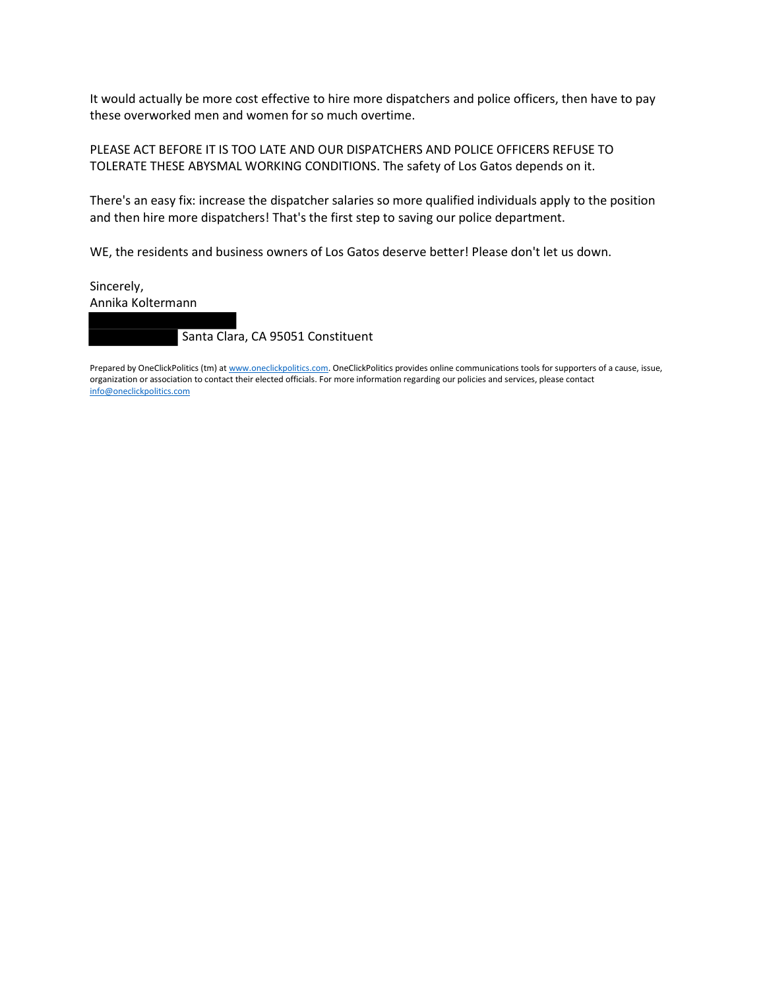It would actually be more cost effective to hire more dispatchers and police officers, then have to pay these overworked men and women for so much overtime.

PLEASE ACT BEFORE IT IS TOO LATE AND OUR DISPATCHERS AND POLICE OFFICERS REFUSE TO TOLERATE THESE ABYSMAL WORKING CONDITIONS. The safety of Los Gatos depends on it.

There's an easy fix: increase the dispatcher salaries so more qualified individuals apply to the position and then hire more dispatchers! That's the first step to saving our police department.

WE, the residents and business owners of Los Gatos deserve better! Please don't let us down.

Sincerely, Annika Koltermann

Santa Clara, CA 95051 Constituent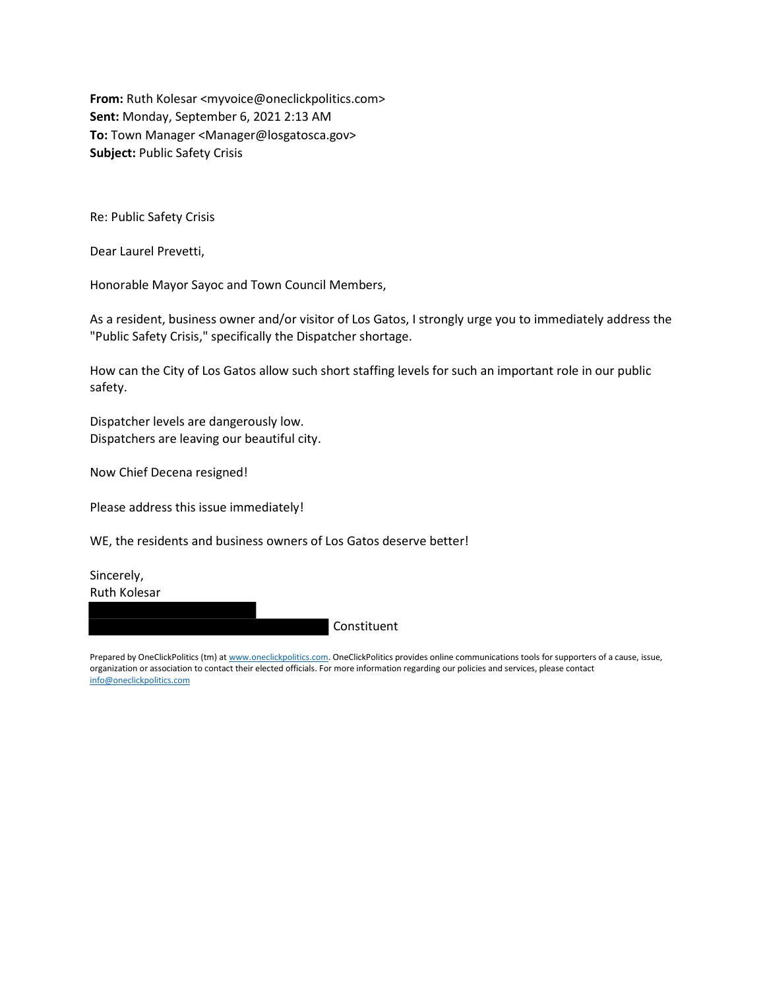From: Ruth Kolesar <myvoice@oneclickpolitics.com> Sent: Monday, September 6, 2021 2:13 AM To: Town Manager <Manager@losgatosca.gov> Subject: Public Safety Crisis

Re: Public Safety Crisis

Dear Laurel Prevetti,

Honorable Mayor Sayoc and Town Council Members,

As a resident, business owner and/or visitor of Los Gatos, I strongly urge you to immediately address the "Public Safety Crisis," specifically the Dispatcher shortage.

How can the City of Los Gatos allow such short staffing levels for such an important role in our public safety.

Dispatcher levels are dangerously low. Dispatchers are leaving our beautiful city.

Now Chief Decena resigned!

Please address this issue immediately!

WE, the residents and business owners of Los Gatos deserve better!

Sincerely, Ruth Kolesar

Constituent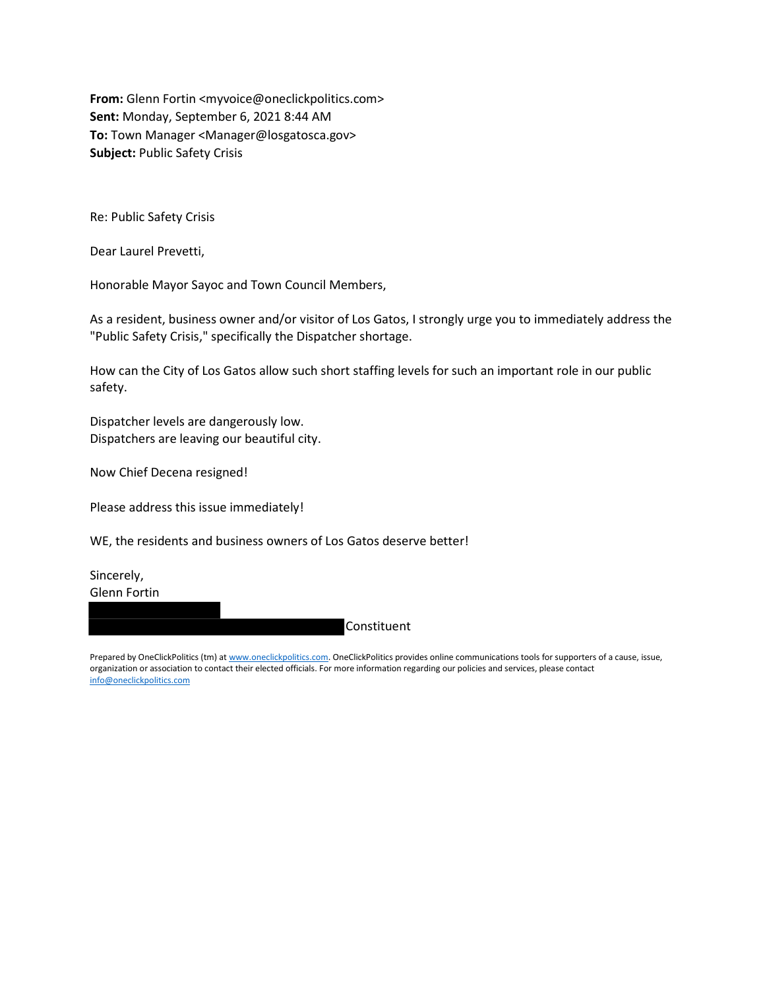From: Glenn Fortin <myvoice@oneclickpolitics.com> Sent: Monday, September 6, 2021 8:44 AM To: Town Manager <Manager@losgatosca.gov> Subject: Public Safety Crisis

Re: Public Safety Crisis

Dear Laurel Prevetti,

Honorable Mayor Sayoc and Town Council Members,

As a resident, business owner and/or visitor of Los Gatos, I strongly urge you to immediately address the "Public Safety Crisis," specifically the Dispatcher shortage.

How can the City of Los Gatos allow such short staffing levels for such an important role in our public safety.

Dispatcher levels are dangerously low. Dispatchers are leaving our beautiful city.

Now Chief Decena resigned!

Please address this issue immediately!

WE, the residents and business owners of Los Gatos deserve better!

Sincerely, Glenn Fortin

Constituent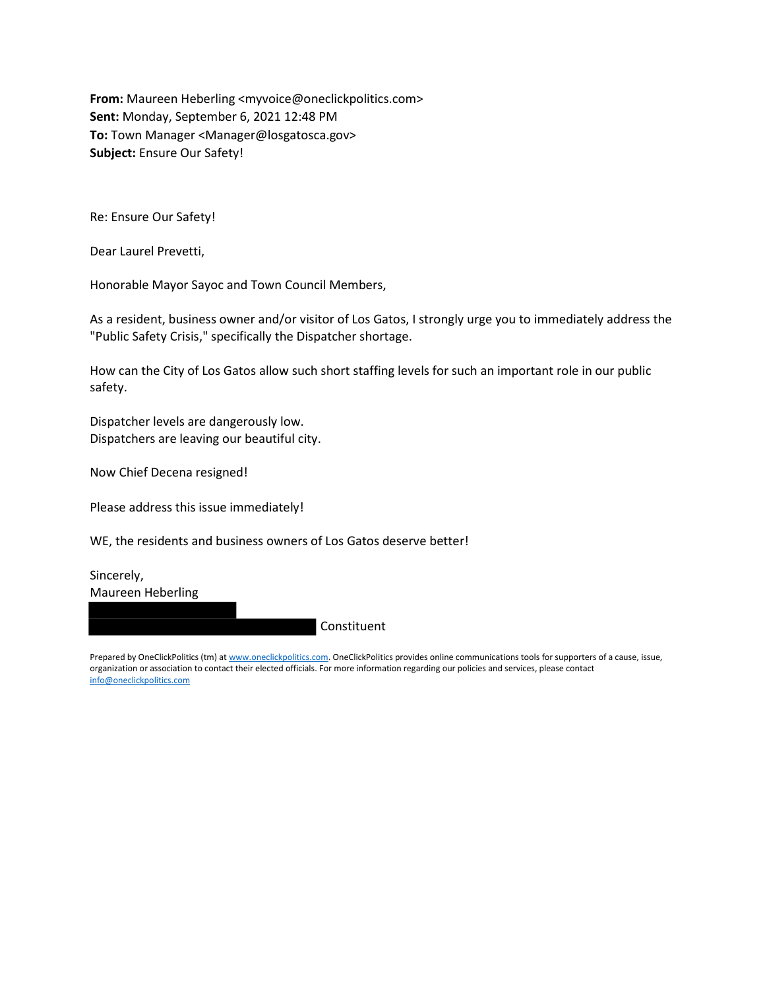From: Maureen Heberling <myvoice@oneclickpolitics.com> Sent: Monday, September 6, 2021 12:48 PM To: Town Manager <Manager@losgatosca.gov> Subject: Ensure Our Safety!

Re: Ensure Our Safety!

Dear Laurel Prevetti,

Honorable Mayor Sayoc and Town Council Members,

As a resident, business owner and/or visitor of Los Gatos, I strongly urge you to immediately address the "Public Safety Crisis," specifically the Dispatcher shortage.

How can the City of Los Gatos allow such short staffing levels for such an important role in our public safety.

Dispatcher levels are dangerously low. Dispatchers are leaving our beautiful city.

Now Chief Decena resigned!

Please address this issue immediately!

WE, the residents and business owners of Los Gatos deserve better!

Sincerely, Maureen Heberling

Constituent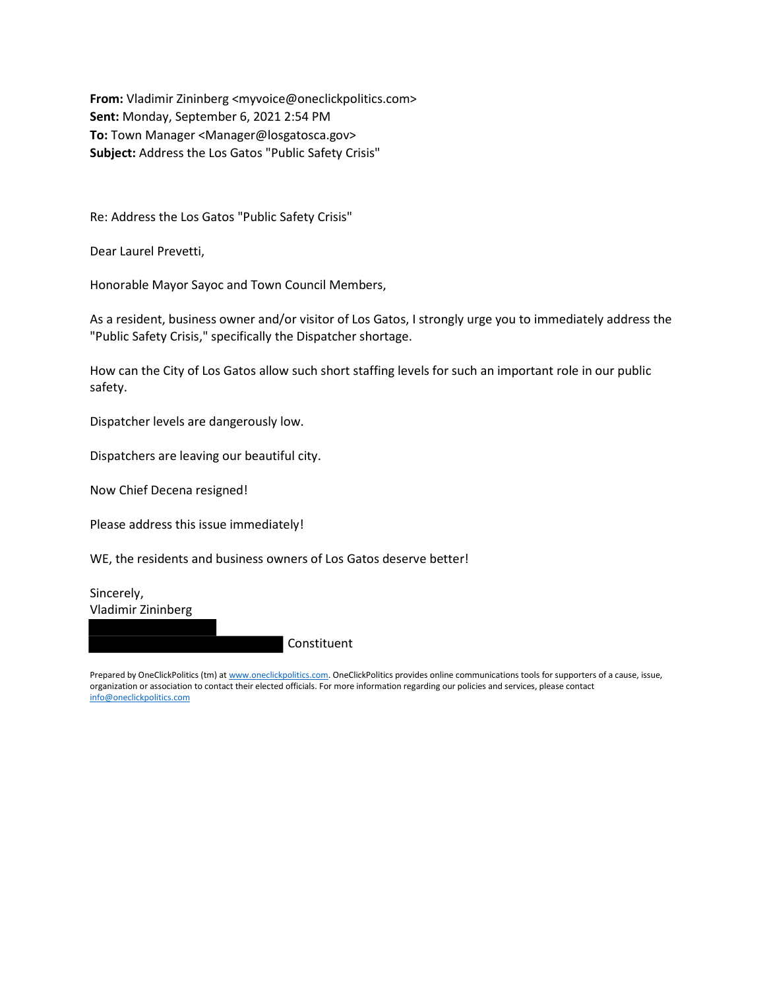From: Vladimir Zininberg <myvoice@oneclickpolitics.com> Sent: Monday, September 6, 2021 2:54 PM To: Town Manager <Manager@losgatosca.gov> Subject: Address the Los Gatos "Public Safety Crisis"

Re: Address the Los Gatos "Public Safety Crisis"

Dear Laurel Prevetti,

Honorable Mayor Sayoc and Town Council Members,

As a resident, business owner and/or visitor of Los Gatos, I strongly urge you to immediately address the "Public Safety Crisis," specifically the Dispatcher shortage.

How can the City of Los Gatos allow such short staffing levels for such an important role in our public safety.

Dispatcher levels are dangerously low.

Dispatchers are leaving our beautiful city.

Now Chief Decena resigned!

Please address this issue immediately!

WE, the residents and business owners of Los Gatos deserve better!

Sincerely, Vladimir Zininberg

Constituent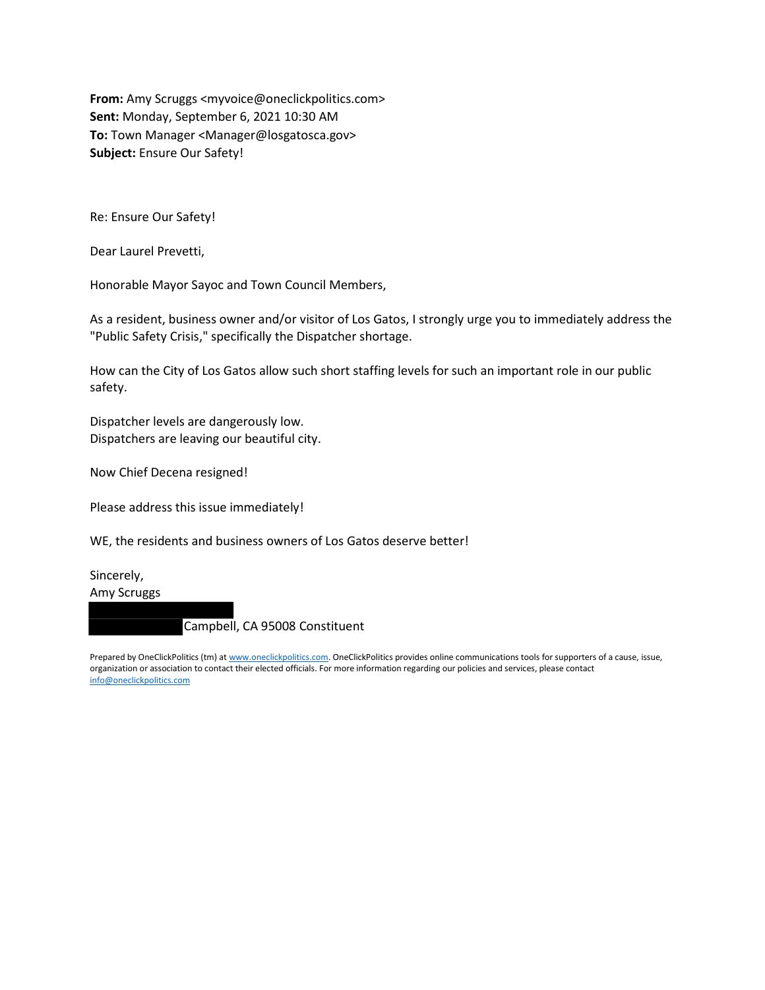From: Amy Scruggs <myvoice@oneclickpolitics.com> Sent: Monday, September 6, 2021 10:30 AM To: Town Manager <Manager@losgatosca.gov> Subject: Ensure Our Safety!

Re: Ensure Our Safety!

Dear Laurel Prevetti,

Honorable Mayor Sayoc and Town Council Members,

As a resident, business owner and/or visitor of Los Gatos, I strongly urge you to immediately address the "Public Safety Crisis," specifically the Dispatcher shortage.

How can the City of Los Gatos allow such short staffing levels for such an important role in our public safety.

Dispatcher levels are dangerously low. Dispatchers are leaving our beautiful city.

Now Chief Decena resigned!

Please address this issue immediately!

WE, the residents and business owners of Los Gatos deserve better!

Sincerely, Amy Scruggs

Campbell, CA 95008 Constituent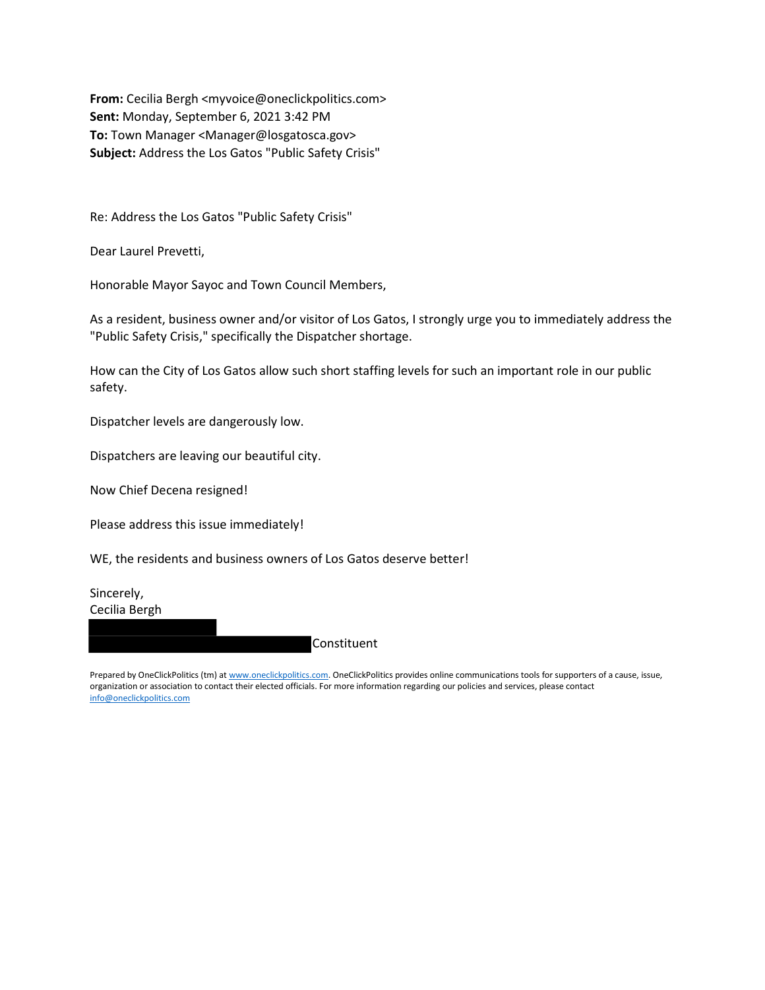From: Cecilia Bergh <myvoice@oneclickpolitics.com> Sent: Monday, September 6, 2021 3:42 PM To: Town Manager <Manager@losgatosca.gov> Subject: Address the Los Gatos "Public Safety Crisis"

Re: Address the Los Gatos "Public Safety Crisis"

Dear Laurel Prevetti,

Honorable Mayor Sayoc and Town Council Members,

As a resident, business owner and/or visitor of Los Gatos, I strongly urge you to immediately address the "Public Safety Crisis," specifically the Dispatcher shortage.

How can the City of Los Gatos allow such short staffing levels for such an important role in our public safety.

Dispatcher levels are dangerously low.

Dispatchers are leaving our beautiful city.

Now Chief Decena resigned!

Please address this issue immediately!

WE, the residents and business owners of Los Gatos deserve better!

Sincerely, Cecilia Bergh

Constituent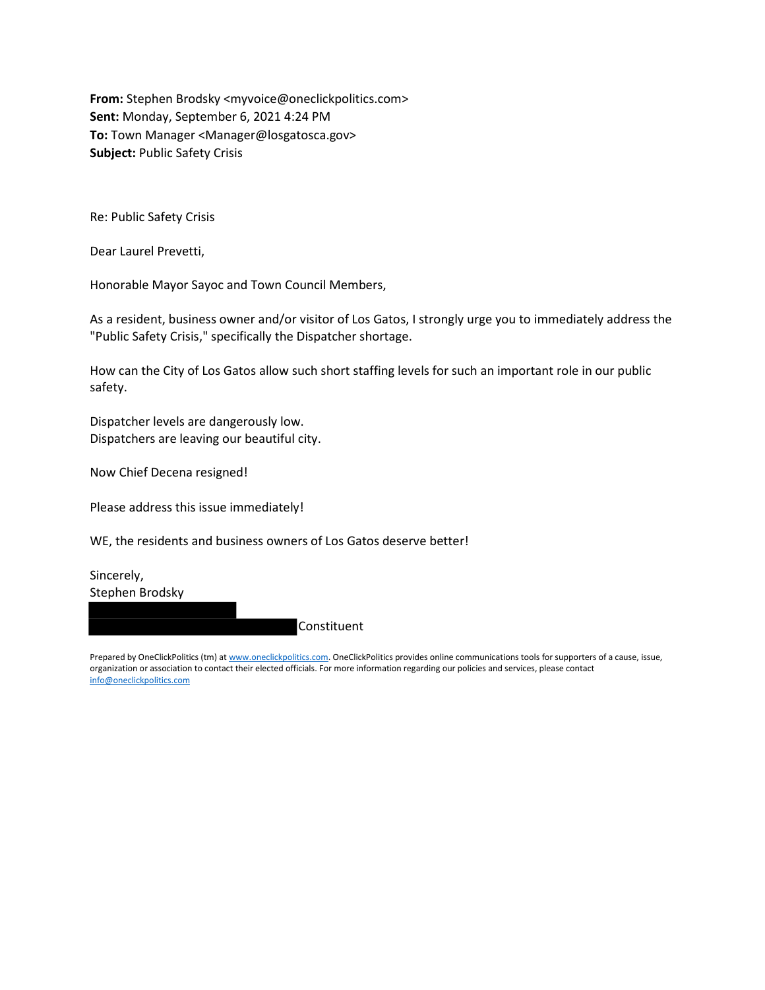From: Stephen Brodsky <myvoice@oneclickpolitics.com> Sent: Monday, September 6, 2021 4:24 PM To: Town Manager <Manager@losgatosca.gov> Subject: Public Safety Crisis

Re: Public Safety Crisis

Dear Laurel Prevetti,

Honorable Mayor Sayoc and Town Council Members,

As a resident, business owner and/or visitor of Los Gatos, I strongly urge you to immediately address the "Public Safety Crisis," specifically the Dispatcher shortage.

How can the City of Los Gatos allow such short staffing levels for such an important role in our public safety.

Dispatcher levels are dangerously low. Dispatchers are leaving our beautiful city.

Now Chief Decena resigned!

Please address this issue immediately!

WE, the residents and business owners of Los Gatos deserve better!

Sincerely, Stephen Brodsky

**Constituent**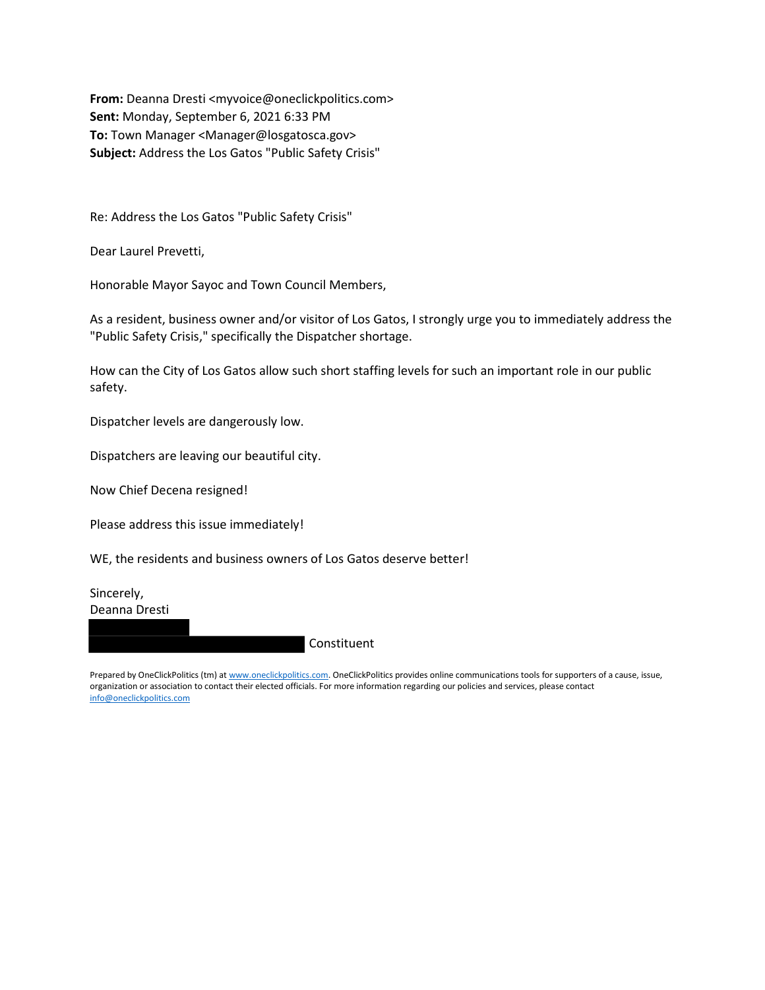From: Deanna Dresti <myvoice@oneclickpolitics.com> Sent: Monday, September 6, 2021 6:33 PM To: Town Manager <Manager@losgatosca.gov> Subject: Address the Los Gatos "Public Safety Crisis"

Re: Address the Los Gatos "Public Safety Crisis"

Dear Laurel Prevetti,

Honorable Mayor Sayoc and Town Council Members,

As a resident, business owner and/or visitor of Los Gatos, I strongly urge you to immediately address the "Public Safety Crisis," specifically the Dispatcher shortage.

How can the City of Los Gatos allow such short staffing levels for such an important role in our public safety.

Dispatcher levels are dangerously low.

Dispatchers are leaving our beautiful city.

Now Chief Decena resigned!

Please address this issue immediately!

WE, the residents and business owners of Los Gatos deserve better!

Sincerely, Deanna Dresti

Constituent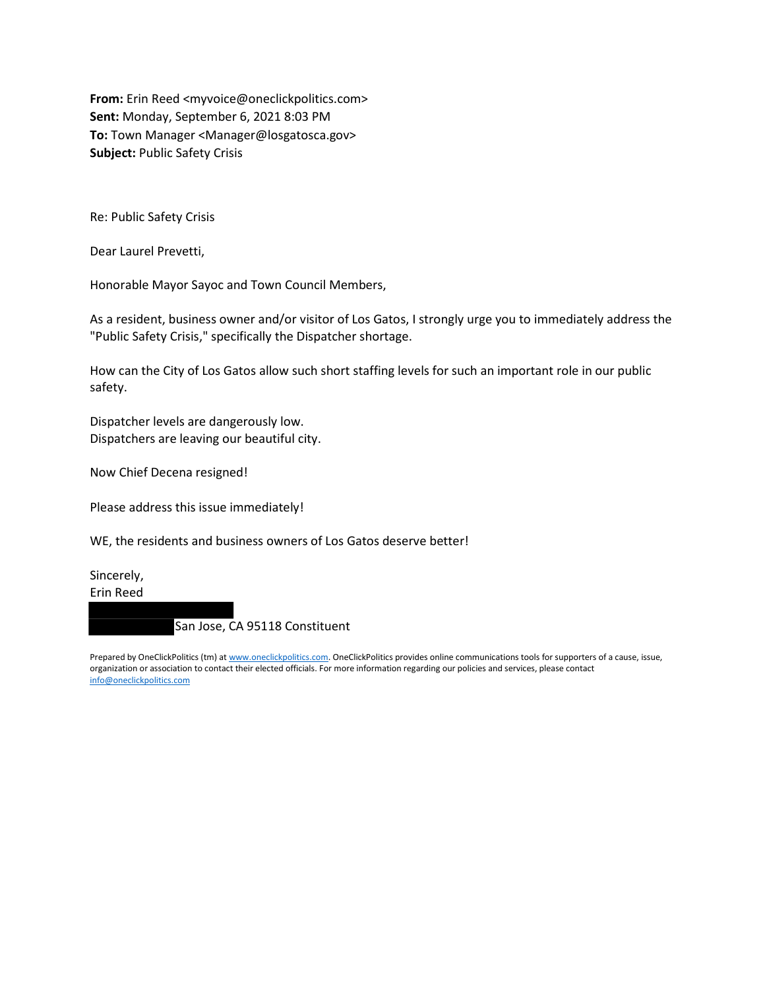From: Erin Reed <myvoice@oneclickpolitics.com> Sent: Monday, September 6, 2021 8:03 PM To: Town Manager <Manager@losgatosca.gov> Subject: Public Safety Crisis

Re: Public Safety Crisis

Dear Laurel Prevetti,

Honorable Mayor Sayoc and Town Council Members,

As a resident, business owner and/or visitor of Los Gatos, I strongly urge you to immediately address the "Public Safety Crisis," specifically the Dispatcher shortage.

How can the City of Los Gatos allow such short staffing levels for such an important role in our public safety.

Dispatcher levels are dangerously low. Dispatchers are leaving our beautiful city.

Now Chief Decena resigned!

Please address this issue immediately!

WE, the residents and business owners of Los Gatos deserve better!

Sincerely, Erin Reed

San Jose, CA 95118 Constituent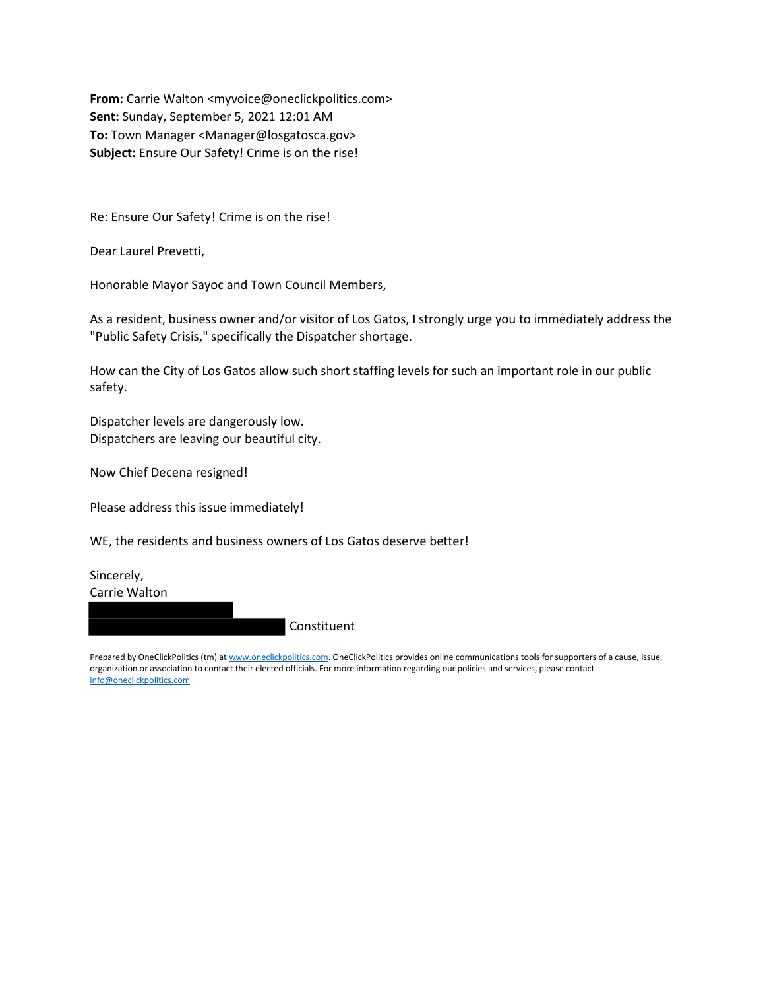From: Carrie Walton <myvoice@oneclickpolitics.com> Sent: Sunday, September 5, 2021 12:01 AM To: Town Manager <Manager@losgatosca.gov> Subject: Ensure Our Safety! Crime is on the rise!

Re: Ensure Our Safety! Crime is on the rise!

Dear Laurel Prevetti,

Honorable Mayor Sayoc and Town Council Members,

As a resident, business owner and/or visitor of Los Gatos, I strongly urge you to immediately address the "Public Safety Crisis," specifically the Dispatcher shortage.

How can the City of Los Gatos allow such short staffing levels for such an important role in our public safety.

Dispatcher levels are dangerously low. Dispatchers are leaving our beautiful city.

Now Chief Decena resigned!

Please address this issue immediately!

WE, the residents and business owners of Los Gatos deserve better!

Sincerely, Carrie Walton

Constituent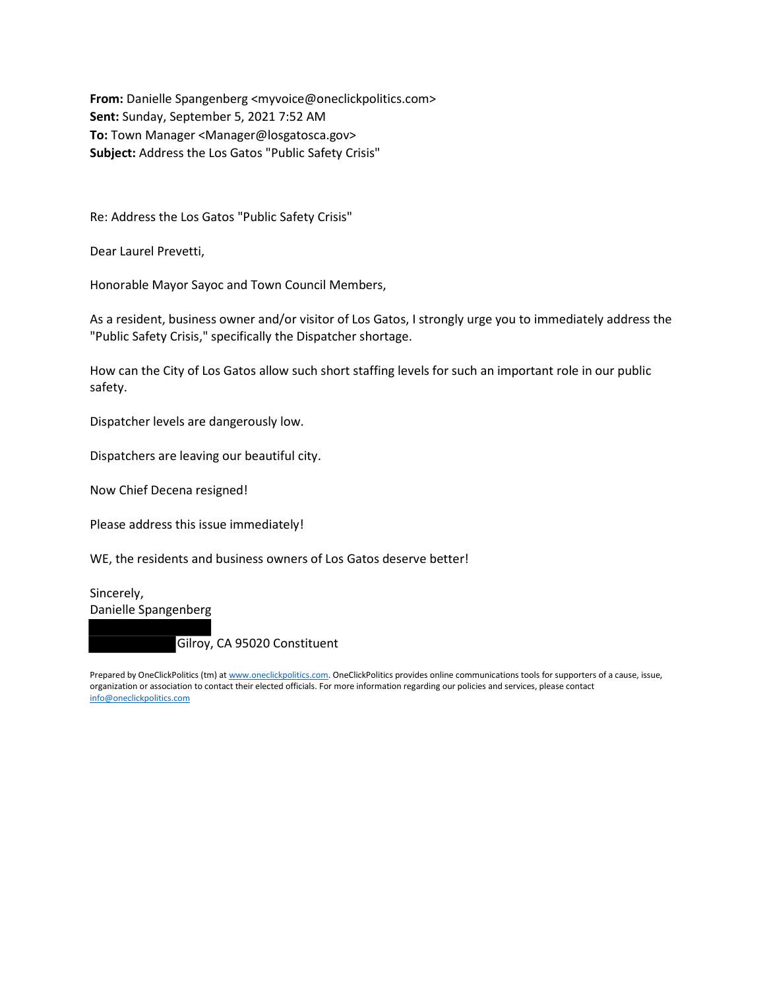From: Danielle Spangenberg <myvoice@oneclickpolitics.com> Sent: Sunday, September 5, 2021 7:52 AM To: Town Manager <Manager@losgatosca.gov> Subject: Address the Los Gatos "Public Safety Crisis"

Re: Address the Los Gatos "Public Safety Crisis"

Dear Laurel Prevetti,

Honorable Mayor Sayoc and Town Council Members,

As a resident, business owner and/or visitor of Los Gatos, I strongly urge you to immediately address the "Public Safety Crisis," specifically the Dispatcher shortage.

How can the City of Los Gatos allow such short staffing levels for such an important role in our public safety.

Dispatcher levels are dangerously low.

Dispatchers are leaving our beautiful city.

Now Chief Decena resigned!

Please address this issue immediately!

WE, the residents and business owners of Los Gatos deserve better!

Sincerely, Danielle Spangenberg

Gilroy, CA 95020 Constituent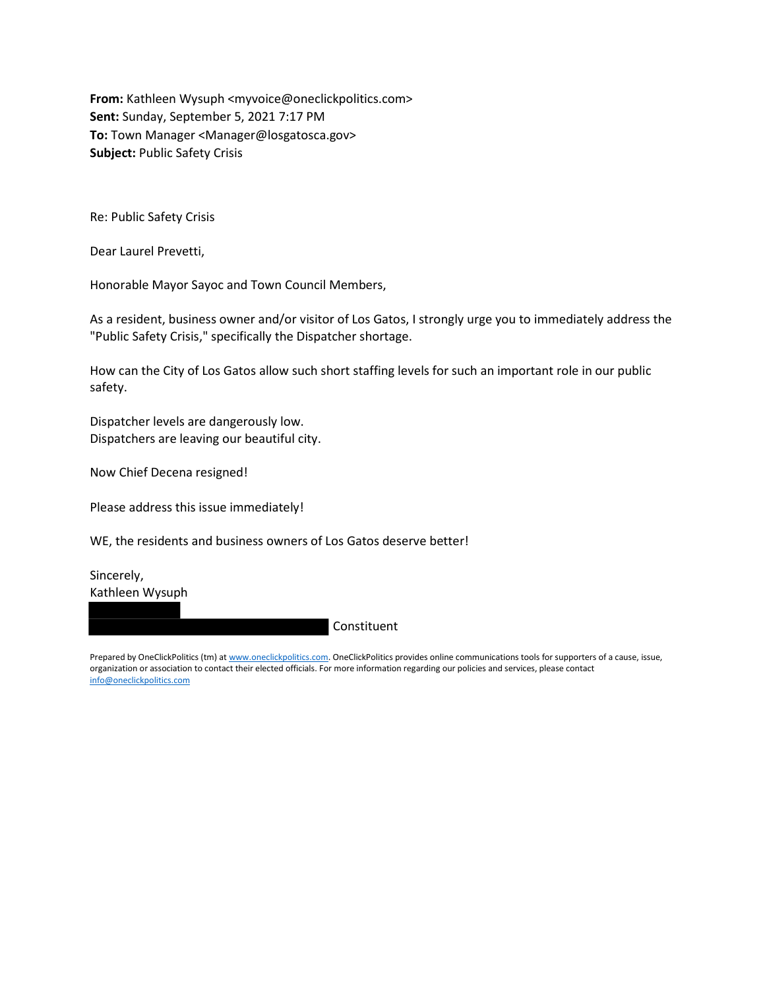From: Kathleen Wysuph <myvoice@oneclickpolitics.com> Sent: Sunday, September 5, 2021 7:17 PM To: Town Manager <Manager@losgatosca.gov> Subject: Public Safety Crisis

Re: Public Safety Crisis

Dear Laurel Prevetti,

Honorable Mayor Sayoc and Town Council Members,

As a resident, business owner and/or visitor of Los Gatos, I strongly urge you to immediately address the "Public Safety Crisis," specifically the Dispatcher shortage.

How can the City of Los Gatos allow such short staffing levels for such an important role in our public safety.

Dispatcher levels are dangerously low. Dispatchers are leaving our beautiful city.

Now Chief Decena resigned!

Please address this issue immediately!

WE, the residents and business owners of Los Gatos deserve better!

Sincerely, Kathleen Wysuph

Constituent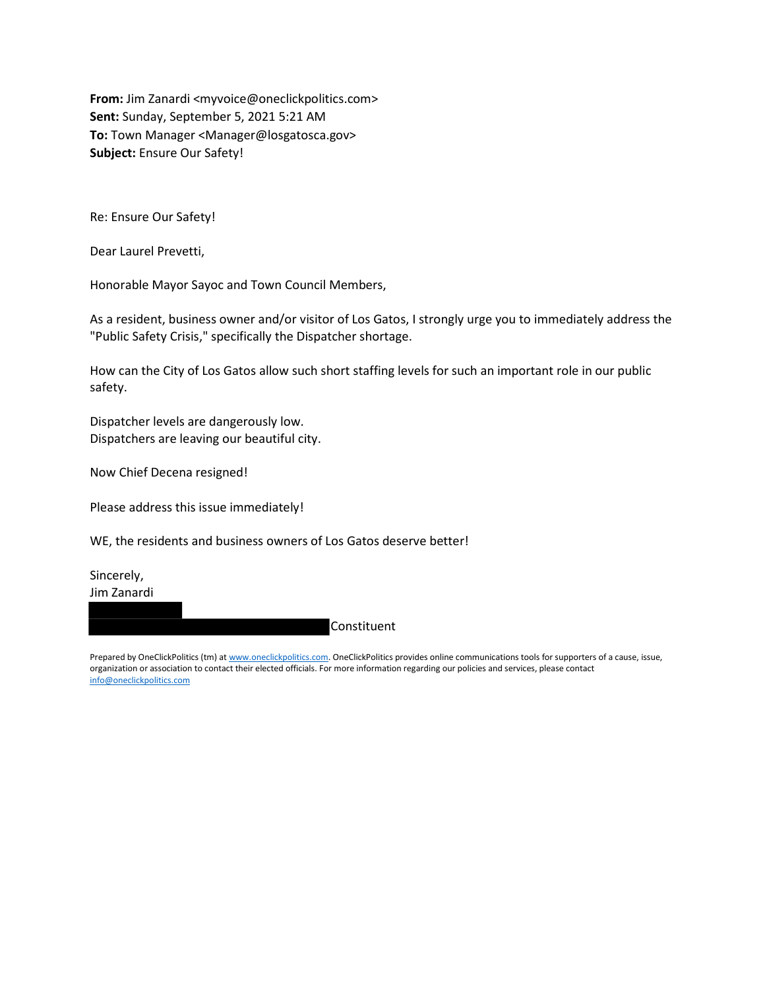From: Jim Zanardi <myvoice@oneclickpolitics.com> Sent: Sunday, September 5, 2021 5:21 AM To: Town Manager <Manager@losgatosca.gov> Subject: Ensure Our Safety!

Re: Ensure Our Safety!

Dear Laurel Prevetti,

Honorable Mayor Sayoc and Town Council Members,

As a resident, business owner and/or visitor of Los Gatos, I strongly urge you to immediately address the "Public Safety Crisis," specifically the Dispatcher shortage.

How can the City of Los Gatos allow such short staffing levels for such an important role in our public safety.

Dispatcher levels are dangerously low. Dispatchers are leaving our beautiful city.

Now Chief Decena resigned!

Please address this issue immediately!

WE, the residents and business owners of Los Gatos deserve better!

Sincerely, Jim Zanardi

Constituent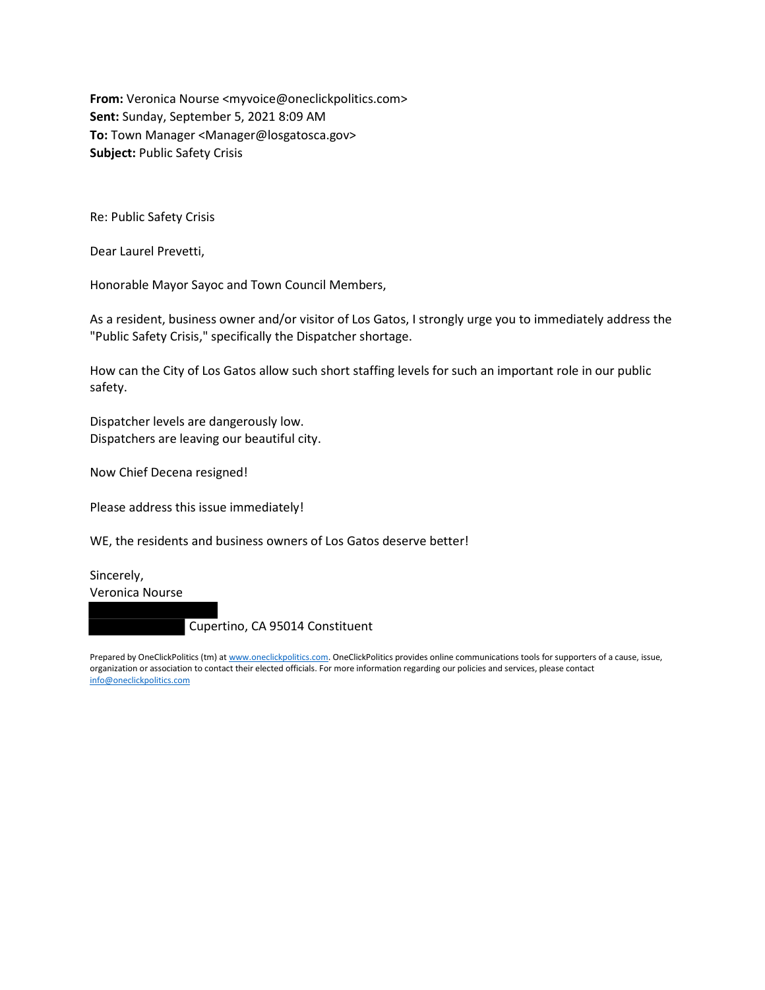From: Veronica Nourse <myvoice@oneclickpolitics.com> Sent: Sunday, September 5, 2021 8:09 AM To: Town Manager <Manager@losgatosca.gov> Subject: Public Safety Crisis

Re: Public Safety Crisis

Dear Laurel Prevetti,

Honorable Mayor Sayoc and Town Council Members,

As a resident, business owner and/or visitor of Los Gatos, I strongly urge you to immediately address the "Public Safety Crisis," specifically the Dispatcher shortage.

How can the City of Los Gatos allow such short staffing levels for such an important role in our public safety.

Dispatcher levels are dangerously low. Dispatchers are leaving our beautiful city.

Now Chief Decena resigned!

Please address this issue immediately!

WE, the residents and business owners of Los Gatos deserve better!

Sincerely, Veronica Nourse

Cupertino, CA 95014 Constituent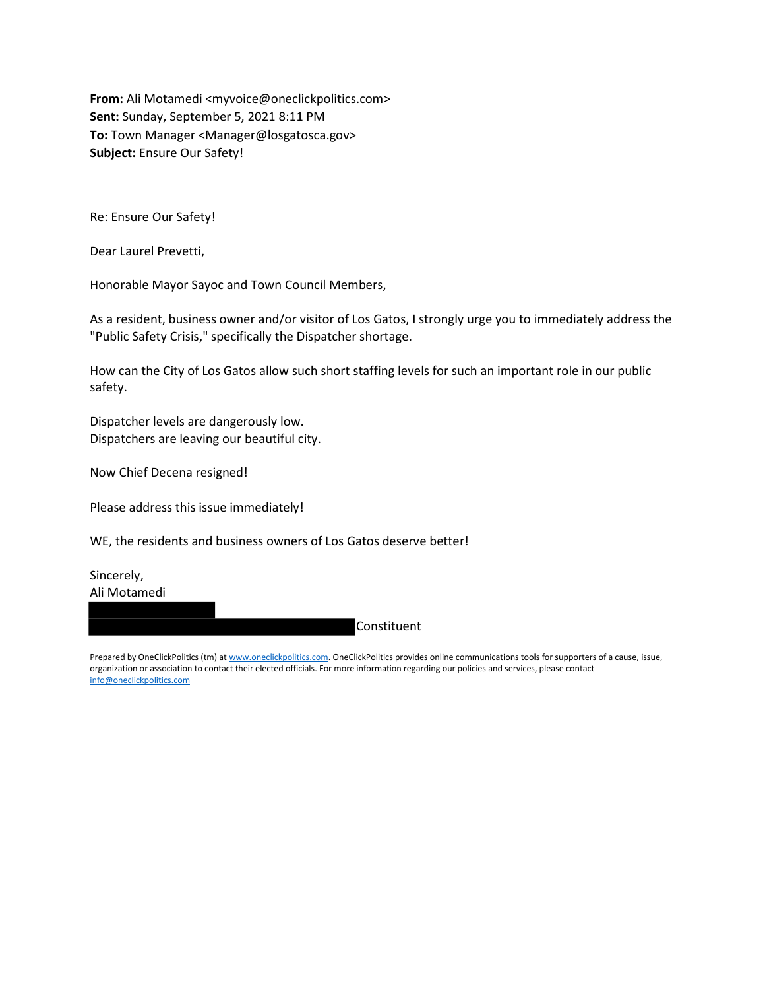From: Ali Motamedi <myvoice@oneclickpolitics.com> Sent: Sunday, September 5, 2021 8:11 PM To: Town Manager <Manager@losgatosca.gov> Subject: Ensure Our Safety!

Re: Ensure Our Safety!

Dear Laurel Prevetti,

Honorable Mayor Sayoc and Town Council Members,

As a resident, business owner and/or visitor of Los Gatos, I strongly urge you to immediately address the "Public Safety Crisis," specifically the Dispatcher shortage.

How can the City of Los Gatos allow such short staffing levels for such an important role in our public safety.

Dispatcher levels are dangerously low. Dispatchers are leaving our beautiful city.

Now Chief Decena resigned!

Please address this issue immediately!

WE, the residents and business owners of Los Gatos deserve better!

Sincerely, Ali Motamedi

Constituent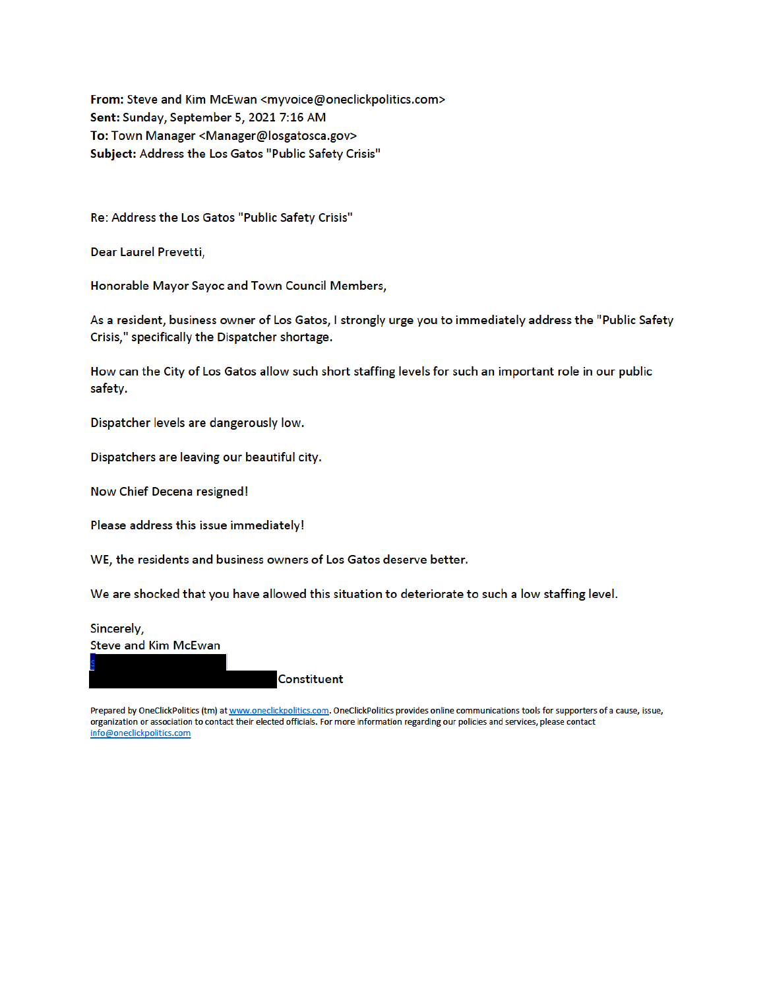From: Steve and Kim McEwan <myvoice@oneclickpolitics.com> Sent: Sunday, September 5, 2021 7:16 AM To: Town Manager <Manager@losgatosca.gov> Subject: Address the Los Gatos "Public Safety Crisis"

Re: Address the Los Gatos "Public Safety Crisis"

Dear Laurel Prevetti,

Honorable Mayor Sayoc and Town Council Members,

As a resident, business owner of Los Gatos, I strongly urge you to immediately address the "Public Safety Crisis," specifically the Dispatcher shortage.

How can the City of Los Gatos allow such short staffing levels for such an important role in our public safety.

Dispatcher levels are dangerously low.

Dispatchers are leaving our beautiful city.

Now Chief Decena resigned!

Please address this issue immediately!

WE, the residents and business owners of Los Gatos deserve better.

We are shocked that you have allowed this situation to deteriorate to such a low staffing level.

Sincerely, **Steve and Kim McEwan** 

**Constituent**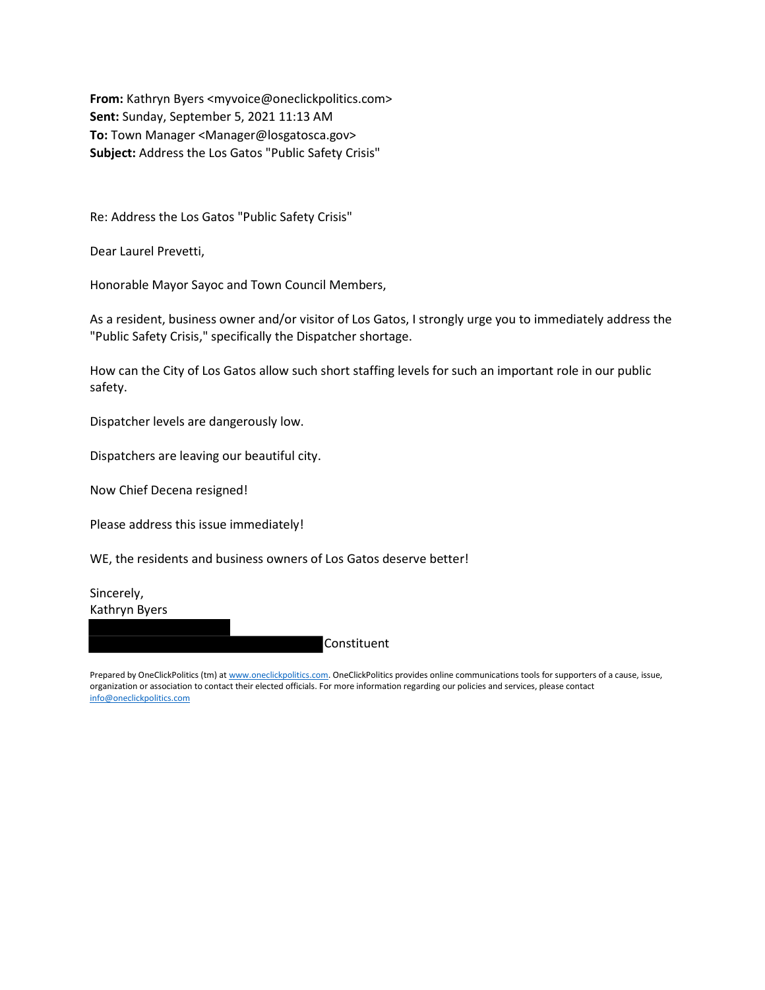From: Kathryn Byers <myvoice@oneclickpolitics.com> Sent: Sunday, September 5, 2021 11:13 AM To: Town Manager <Manager@losgatosca.gov> Subject: Address the Los Gatos "Public Safety Crisis"

Re: Address the Los Gatos "Public Safety Crisis"

Dear Laurel Prevetti,

Honorable Mayor Sayoc and Town Council Members,

As a resident, business owner and/or visitor of Los Gatos, I strongly urge you to immediately address the "Public Safety Crisis," specifically the Dispatcher shortage.

How can the City of Los Gatos allow such short staffing levels for such an important role in our public safety.

Dispatcher levels are dangerously low.

Dispatchers are leaving our beautiful city.

Now Chief Decena resigned!

Please address this issue immediately!

WE, the residents and business owners of Los Gatos deserve better!

Sincerely, Kathryn Byers

**Constituent**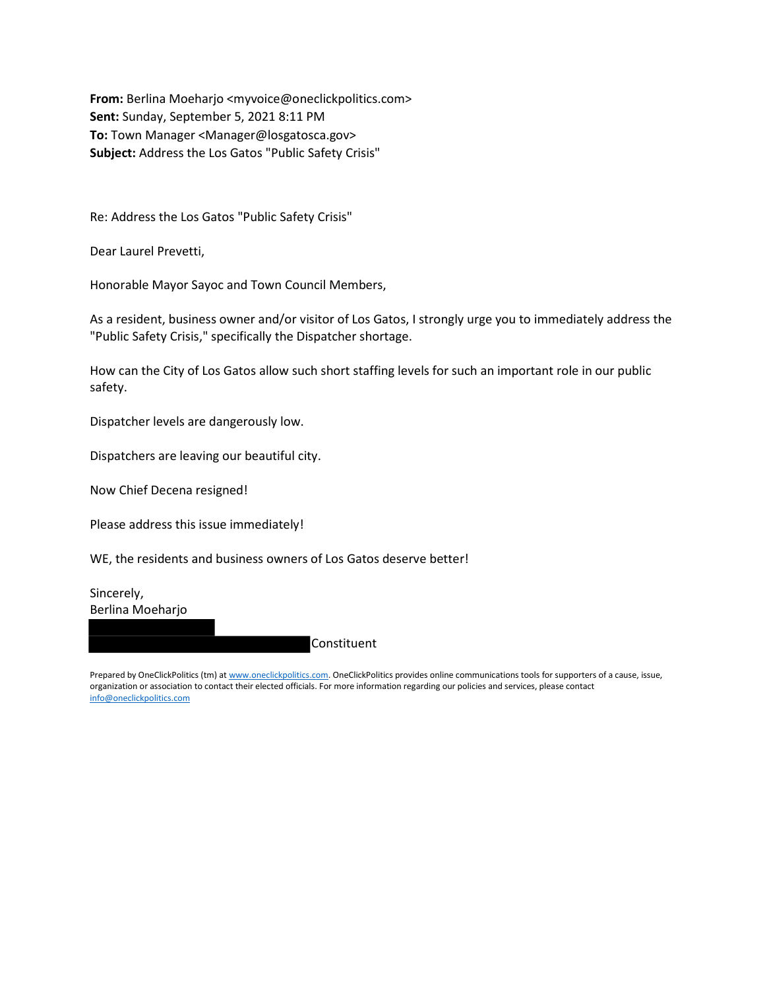From: Berlina Moeharjo <myvoice@oneclickpolitics.com> Sent: Sunday, September 5, 2021 8:11 PM To: Town Manager <Manager@losgatosca.gov> Subject: Address the Los Gatos "Public Safety Crisis"

Re: Address the Los Gatos "Public Safety Crisis"

Dear Laurel Prevetti,

Honorable Mayor Sayoc and Town Council Members,

As a resident, business owner and/or visitor of Los Gatos, I strongly urge you to immediately address the "Public Safety Crisis," specifically the Dispatcher shortage.

How can the City of Los Gatos allow such short staffing levels for such an important role in our public safety.

Dispatcher levels are dangerously low.

Dispatchers are leaving our beautiful city.

Now Chief Decena resigned!

Please address this issue immediately!

WE, the residents and business owners of Los Gatos deserve better!

Sincerely, Berlina Moeharjo

Constituent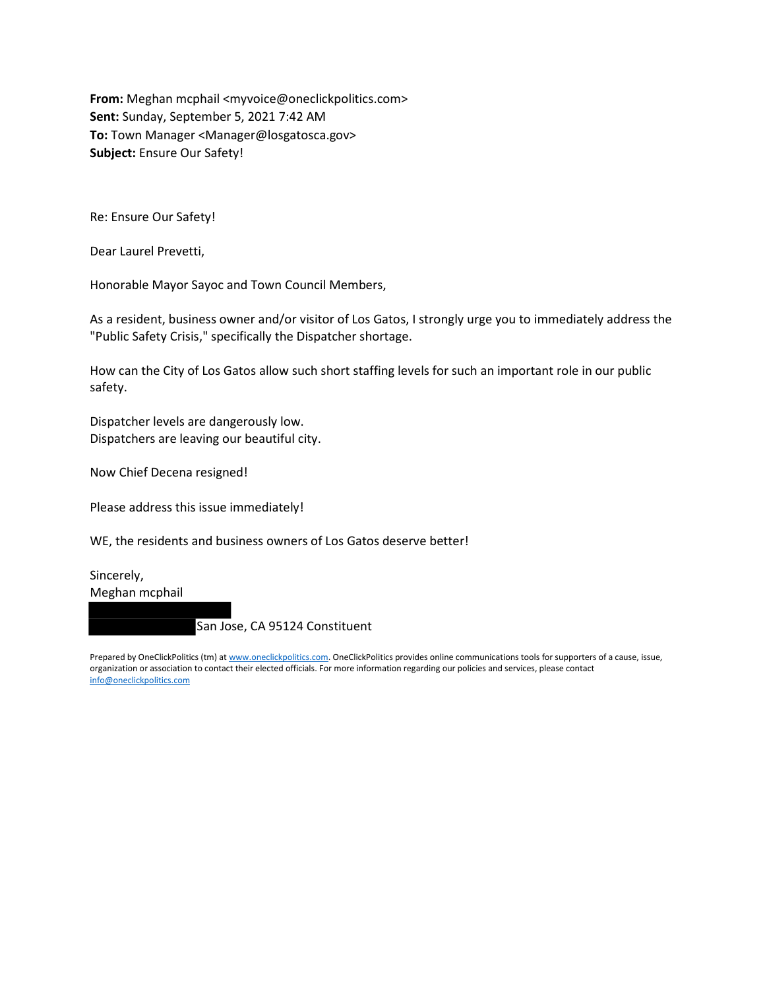From: Meghan mcphail <myvoice@oneclickpolitics.com> Sent: Sunday, September 5, 2021 7:42 AM To: Town Manager <Manager@losgatosca.gov> Subject: Ensure Our Safety!

Re: Ensure Our Safety!

Dear Laurel Prevetti,

Honorable Mayor Sayoc and Town Council Members,

As a resident, business owner and/or visitor of Los Gatos, I strongly urge you to immediately address the "Public Safety Crisis," specifically the Dispatcher shortage.

How can the City of Los Gatos allow such short staffing levels for such an important role in our public safety.

Dispatcher levels are dangerously low. Dispatchers are leaving our beautiful city.

Now Chief Decena resigned!

Please address this issue immediately!

WE, the residents and business owners of Los Gatos deserve better!

Sincerely, Meghan mcphail

San Jose, CA 95124 Constituent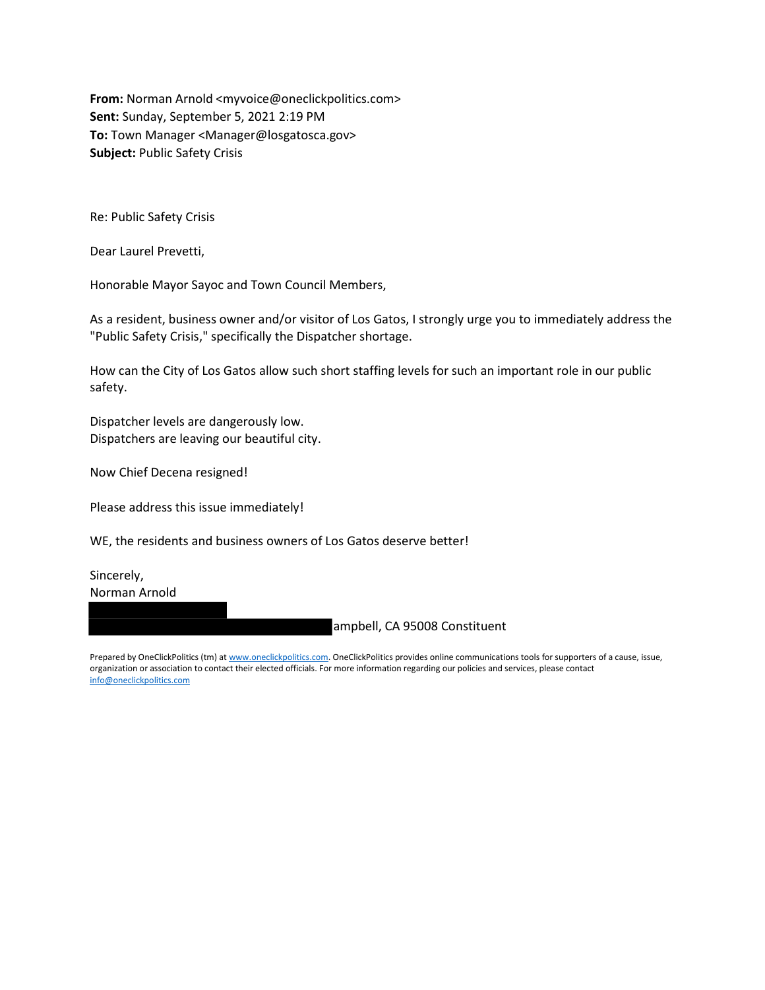From: Norman Arnold <myvoice@oneclickpolitics.com> Sent: Sunday, September 5, 2021 2:19 PM To: Town Manager <Manager@losgatosca.gov> Subject: Public Safety Crisis

Re: Public Safety Crisis

Dear Laurel Prevetti,

Honorable Mayor Sayoc and Town Council Members,

As a resident, business owner and/or visitor of Los Gatos, I strongly urge you to immediately address the "Public Safety Crisis," specifically the Dispatcher shortage.

How can the City of Los Gatos allow such short staffing levels for such an important role in our public safety.

Dispatcher levels are dangerously low. Dispatchers are leaving our beautiful city.

Now Chief Decena resigned!

Please address this issue immediately!

WE, the residents and business owners of Los Gatos deserve better!

Sincerely, Norman Arnold

ampbell, CA 95008 Constituent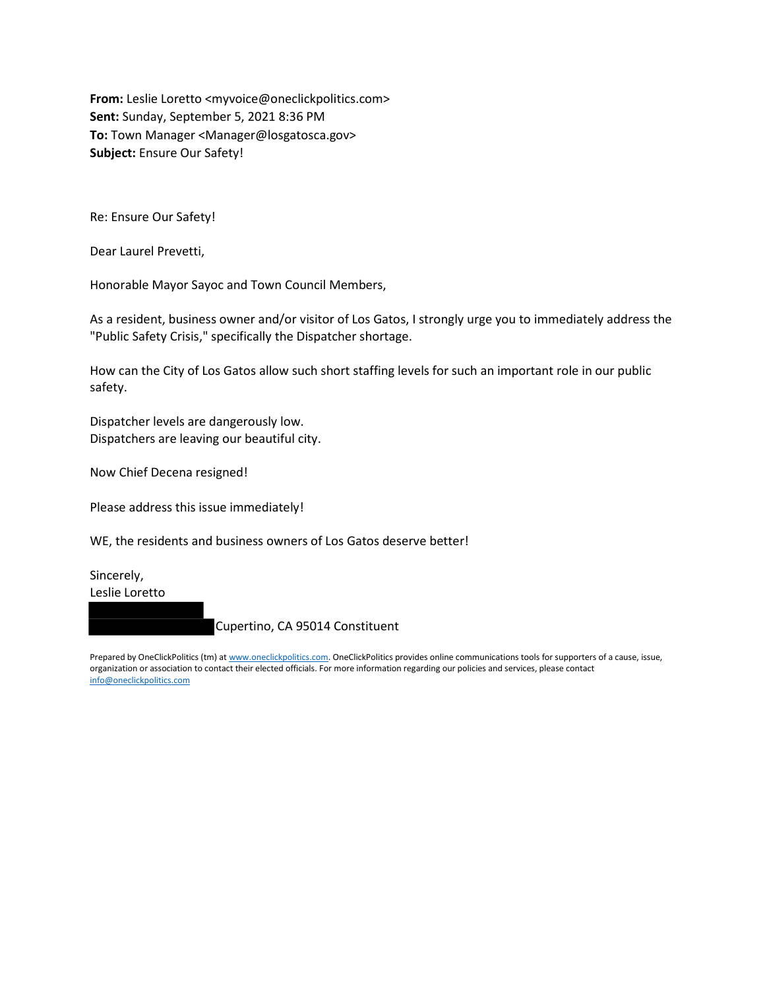From: Leslie Loretto <myvoice@oneclickpolitics.com> Sent: Sunday, September 5, 2021 8:36 PM To: Town Manager <Manager@losgatosca.gov> Subject: Ensure Our Safety!

Re: Ensure Our Safety!

Dear Laurel Prevetti,

Honorable Mayor Sayoc and Town Council Members,

As a resident, business owner and/or visitor of Los Gatos, I strongly urge you to immediately address the "Public Safety Crisis," specifically the Dispatcher shortage.

How can the City of Los Gatos allow such short staffing levels for such an important role in our public safety.

Dispatcher levels are dangerously low. Dispatchers are leaving our beautiful city.

Now Chief Decena resigned!

Please address this issue immediately!

WE, the residents and business owners of Los Gatos deserve better!

Sincerely, Leslie Loretto

Cupertino, CA 95014 Constituent

Prepared by OneClickPolitics (tm) at www.oneclickpolitics.com. OneClickPolitics provides online communications tools for supporters of a cause, issue, organization or association to contact their elected officials. For more information regarding our policies and services, please contact info@oneclickpolitics.com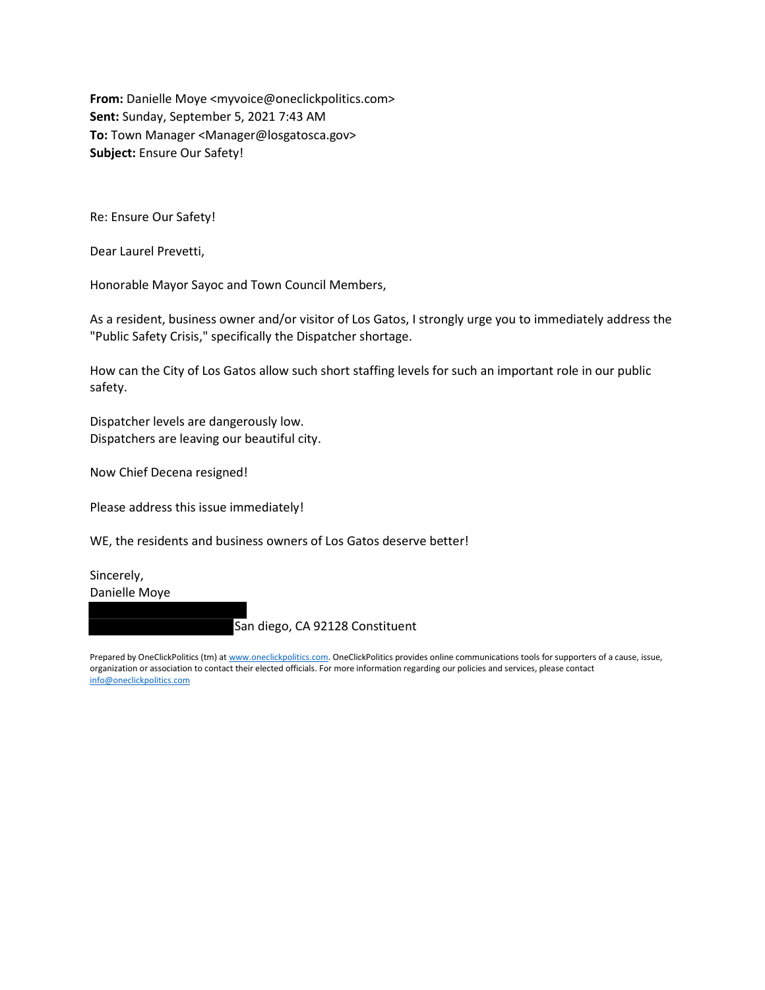From: Danielle Moye <myvoice@oneclickpolitics.com> Sent: Sunday, September 5, 2021 7:43 AM To: Town Manager <Manager@losgatosca.gov> Subject: Ensure Our Safety!

Re: Ensure Our Safety!

Dear Laurel Prevetti,

Honorable Mayor Sayoc and Town Council Members,

As a resident, business owner and/or visitor of Los Gatos, I strongly urge you to immediately address the "Public Safety Crisis," specifically the Dispatcher shortage.

How can the City of Los Gatos allow such short staffing levels for such an important role in our public safety.

Dispatcher levels are dangerously low. Dispatchers are leaving our beautiful city.

Now Chief Decena resigned!

Please address this issue immediately!

WE, the residents and business owners of Los Gatos deserve better!

Sincerely, Danielle Moye

San diego, CA 92128 Constituent

Prepared by OneClickPolitics (tm) at www.oneclickpolitics.com. OneClickPolitics provides online communications tools for supporters of a cause, issue, organization or association to contact their elected officials. For more information regarding our policies and services, please contact info@oneclickpolitics.com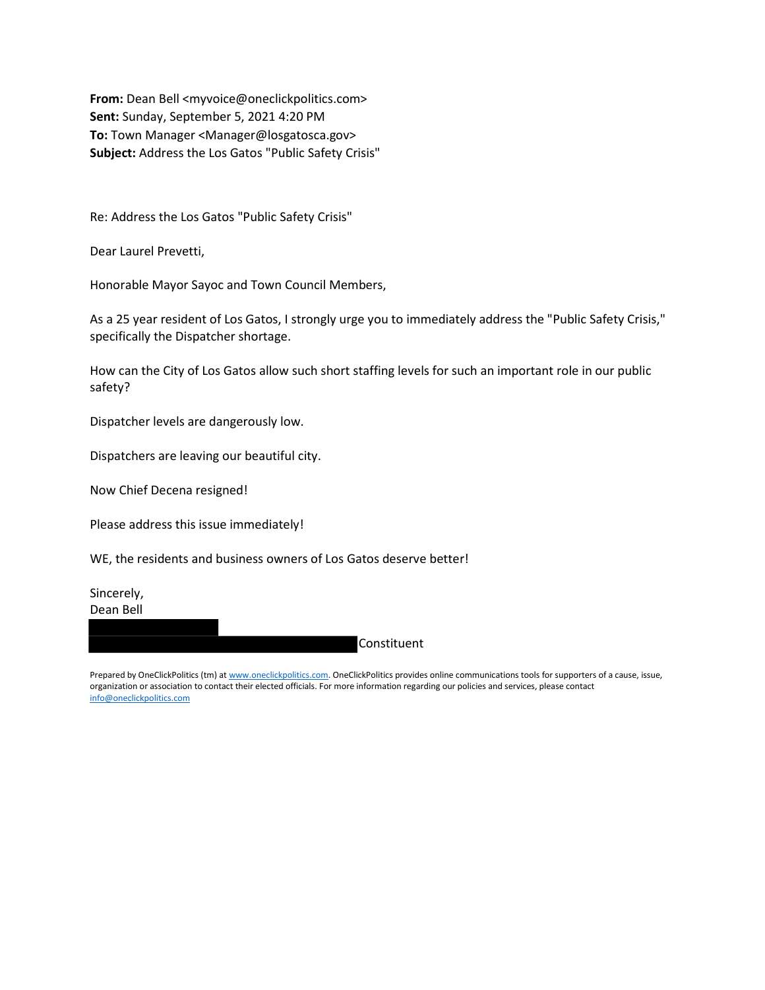From: Dean Bell <myvoice@oneclickpolitics.com> Sent: Sunday, September 5, 2021 4:20 PM To: Town Manager <Manager@losgatosca.gov> Subject: Address the Los Gatos "Public Safety Crisis"

Re: Address the Los Gatos "Public Safety Crisis"

Dear Laurel Prevetti,

Honorable Mayor Sayoc and Town Council Members,

As a 25 year resident of Los Gatos, I strongly urge you to immediately address the "Public Safety Crisis," specifically the Dispatcher shortage.

How can the City of Los Gatos allow such short staffing levels for such an important role in our public safety?

Dispatcher levels are dangerously low.

Dispatchers are leaving our beautiful city.

Now Chief Decena resigned!

Please address this issue immediately!

WE, the residents and business owners of Los Gatos deserve better!

Sincerely, Dean Bell

**Constituent**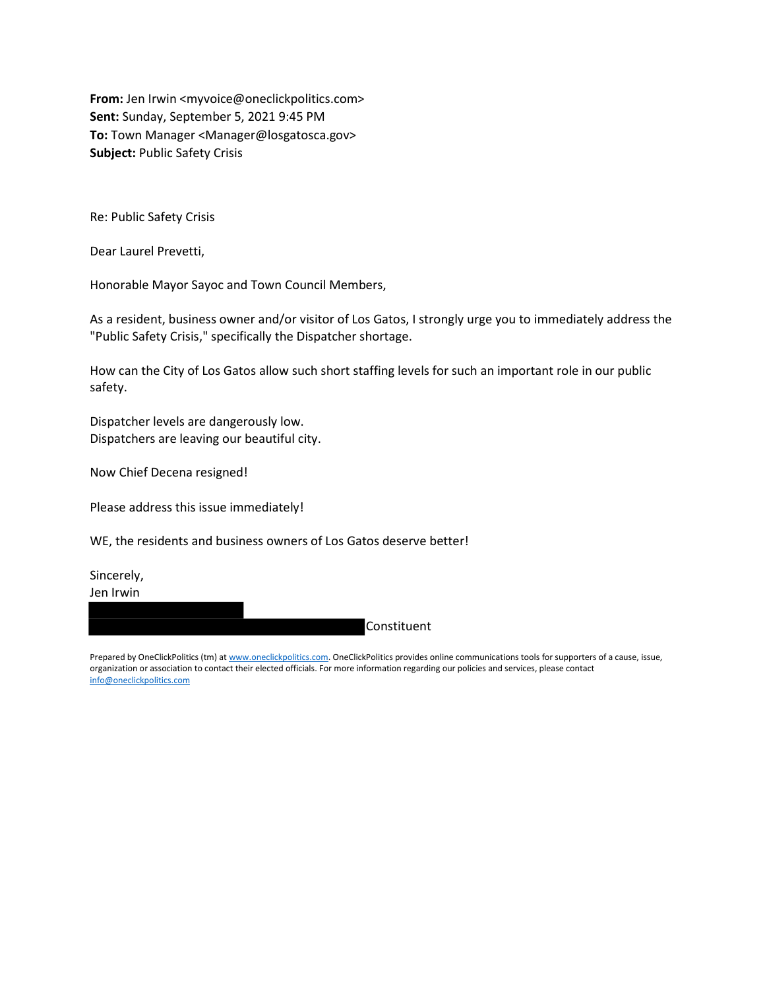From: Jen Irwin <myvoice@oneclickpolitics.com> Sent: Sunday, September 5, 2021 9:45 PM To: Town Manager <Manager@losgatosca.gov> Subject: Public Safety Crisis

Re: Public Safety Crisis

Dear Laurel Prevetti,

Honorable Mayor Sayoc and Town Council Members,

As a resident, business owner and/or visitor of Los Gatos, I strongly urge you to immediately address the "Public Safety Crisis," specifically the Dispatcher shortage.

How can the City of Los Gatos allow such short staffing levels for such an important role in our public safety.

Dispatcher levels are dangerously low. Dispatchers are leaving our beautiful city.

Now Chief Decena resigned!

Please address this issue immediately!

WE, the residents and business owners of Los Gatos deserve better!

Sincerely, Jen Irwin

Constituent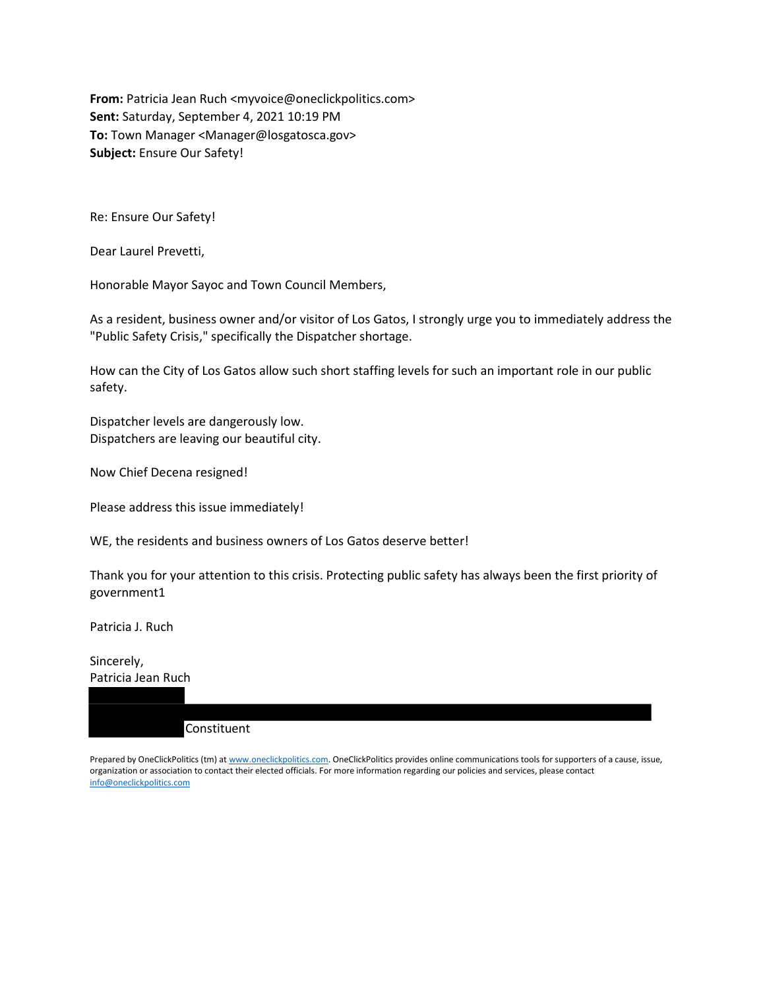From: Patricia Jean Ruch <myvoice@oneclickpolitics.com> Sent: Saturday, September 4, 2021 10:19 PM To: Town Manager <Manager@losgatosca.gov> Subject: Ensure Our Safety!

Re: Ensure Our Safety!

Dear Laurel Prevetti,

Honorable Mayor Sayoc and Town Council Members,

As a resident, business owner and/or visitor of Los Gatos, I strongly urge you to immediately address the "Public Safety Crisis," specifically the Dispatcher shortage.

How can the City of Los Gatos allow such short staffing levels for such an important role in our public safety.

Dispatcher levels are dangerously low. Dispatchers are leaving our beautiful city.

Now Chief Decena resigned!

Please address this issue immediately!

WE, the residents and business owners of Los Gatos deserve better!

Thank you for your attention to this crisis. Protecting public safety has always been the first priority of government1

Patricia J. Ruch

Sincerely, Patricia Jean Ruch

Constituent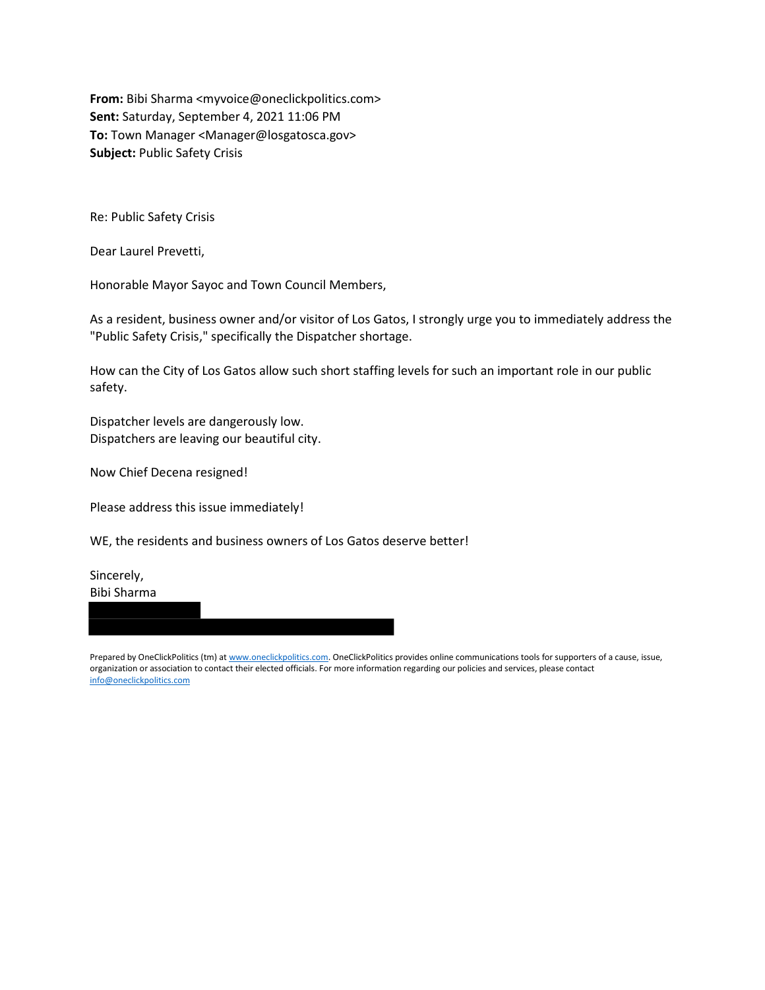From: Bibi Sharma <myvoice@oneclickpolitics.com> Sent: Saturday, September 4, 2021 11:06 PM To: Town Manager <Manager@losgatosca.gov> Subject: Public Safety Crisis

Re: Public Safety Crisis

Dear Laurel Prevetti,

Honorable Mayor Sayoc and Town Council Members,

As a resident, business owner and/or visitor of Los Gatos, I strongly urge you to immediately address the "Public Safety Crisis," specifically the Dispatcher shortage.

How can the City of Los Gatos allow such short staffing levels for such an important role in our public safety.

Dispatcher levels are dangerously low. Dispatchers are leaving our beautiful city.

Now Chief Decena resigned!

Please address this issue immediately!

WE, the residents and business owners of Los Gatos deserve better!

Sincerely, Bibi Sharma